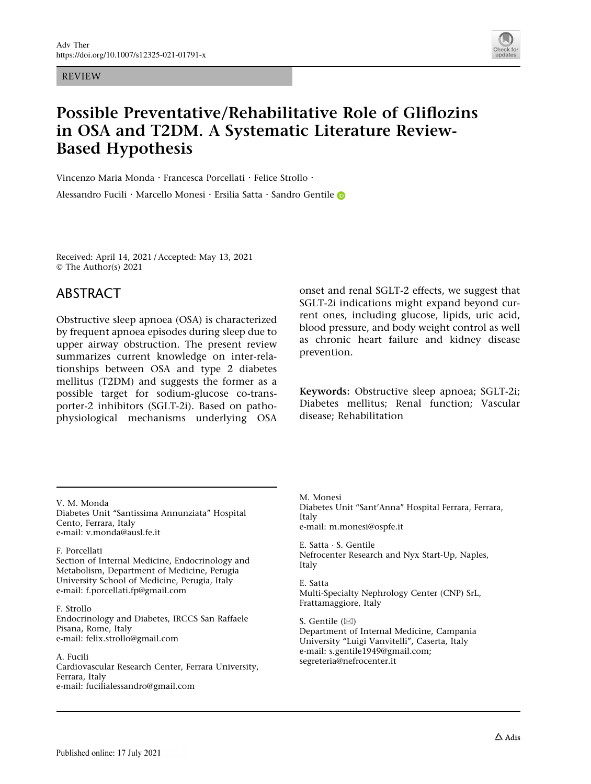REVIEW



# Possible Preventative/Rehabilitative Role of Gliflozins in OSA and T2DM. A Systematic Literature Review-Based Hypothesis

Vincenzo Maria Monda · Francesca Porcellati · Felice Strollo · Alessandro Fucili · Marcello Monesi · Ersilia Satta · Sandro Gentile D

Received: April 14, 2021 / Accepted: May 13, 2021 © The Author(s) 2021

### ABSTRACT

Obstructive sleep apnoea (OSA) is characterized by frequent apnoea episodes during sleep due to upper airway obstruction. The present review summarizes current knowledge on inter-relationships between OSA and type 2 diabetes mellitus (T2DM) and suggests the former as a possible target for sodium-glucose co-transporter-2 inhibitors (SGLT-2i). Based on pathophysiological mechanisms underlying OSA onset and renal SGLT-2 effects, we suggest that SGLT-2i indications might expand beyond current ones, including glucose, lipids, uric acid, blood pressure, and body weight control as well as chronic heart failure and kidney disease prevention.

Keywords: Obstructive sleep apnoea; SGLT-2i; Diabetes mellitus; Renal function; Vascular disease; Rehabilitation

V. M. Monda Diabetes Unit ''Santissima Annunziata'' Hospital Cento, Ferrara, Italy e-mail: v.monda@ausl.fe.it

#### F. Porcellati

Section of Internal Medicine, Endocrinology and Metabolism, Department of Medicine, Perugia University School of Medicine, Perugia, Italy e-mail: f.porcellati.fp@gmail.com

F. Strollo Endocrinology and Diabetes, IRCCS San Raffaele Pisana, Rome, Italy e-mail: felix.strollo@gmail.com

A. Fucili Cardiovascular Research Center, Ferrara University, Ferrara, Italy e-mail: fucilialessandro@gmail.com

M. Monesi Diabetes Unit ''Sant'Anna'' Hospital Ferrara, Ferrara, Italy e-mail: m.monesi@ospfe.it

E. Satta - S. Gentile Nefrocenter Research and Nyx Start-Up, Naples, Italy

E. Satta Multi-Specialty Nephrology Center (CNP) SrL, Frattamaggiore, Italy

S. Gentile  $(\boxtimes)$ Department of Internal Medicine, Campania University ''Luigi Vanvitelli'', Caserta, Italy e-mail: s.gentile1949@gmail.com; segreteria@nefrocenter.it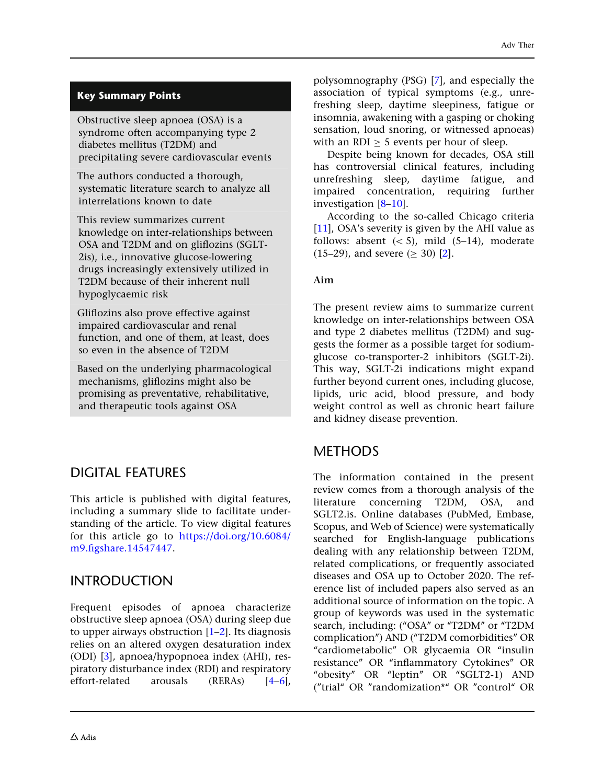### Key Summary Points

Obstructive sleep apnoea (OSA) is a syndrome often accompanying type 2 diabetes mellitus (T2DM) and precipitating severe cardiovascular events

The authors conducted a thorough, systematic literature search to analyze all interrelations known to date

This review summarizes current knowledge on inter-relationships between OSA and T2DM and on gliflozins (SGLT-2is), i.e., innovative glucose-lowering drugs increasingly extensively utilized in T2DM because of their inherent null hypoglycaemic risk

Gliflozins also prove effective against impaired cardiovascular and renal function, and one of them, at least, does so even in the absence of T2DM

Based on the underlying pharmacological mechanisms, gliflozins might also be promising as preventative, rehabilitative, and therapeutic tools against OSA

## DIGITAL FEATURES

This article is published with digital features, including a summary slide to facilitate understanding of the article. To view digital features for this article go to [https://doi.org/10.6084/](https://doi.org/10.6084/m9.figshare.14547447) [m9.figshare.14547447.](https://doi.org/10.6084/m9.figshare.14547447)

## INTRODUCTION

Frequent episodes of apnoea characterize obstructive sleep apnoea (OSA) during sleep due to upper airways obstruction  $[1-2]$ . Its diagnosis relies on an altered oxygen desaturation index (ODI) [[3](#page-9-0)], apnoea/hypopnoea index (AHI), respiratory disturbance index (RDI) and respiratory effort-related arousals (RERAs) [[4–6](#page-9-0)],

Despite being known for decades, OSA still has controversial clinical features, including unrefreshing sleep, daytime fatigue, and impaired concentration, requiring further investigation [[8–10\]](#page-9-0).

According to the so-called Chicago criteria [\[11\]](#page-9-0), OSA's severity is given by the AHI value as follows: absent  $(< 5$ ), mild  $(5-14)$ , moderate (15–29), and severe  $(\geq 30)$  [[2\]](#page-9-0).

### Aim

The present review aims to summarize current knowledge on inter-relationships between OSA and type 2 diabetes mellitus (T2DM) and suggests the former as a possible target for sodiumglucose co-transporter-2 inhibitors (SGLT-2i). This way, SGLT-2i indications might expand further beyond current ones, including glucose, lipids, uric acid, blood pressure, and body weight control as well as chronic heart failure and kidney disease prevention.

## METHODS

The information contained in the present review comes from a thorough analysis of the literature concerning T2DM, OSA, and SGLT2.is. Online databases (PubMed, Embase, Scopus, and Web of Science) were systematically searched for English-language publications dealing with any relationship between T2DM, related complications, or frequently associated diseases and OSA up to October 2020. The reference list of included papers also served as an additional source of information on the topic. A group of keywords was used in the systematic search, including: ("OSA" or "T2DM" or "T2DM complication'') AND (''T2DM comorbidities'' OR ''cardiometabolic'' OR glycaemia OR ''insulin resistance'' OR ''inflammatory Cytokines'' OR "obesity" OR "leptin" OR "SGLT2-1) AND (''trial'' OR ''randomization\*'' OR ''control'' OR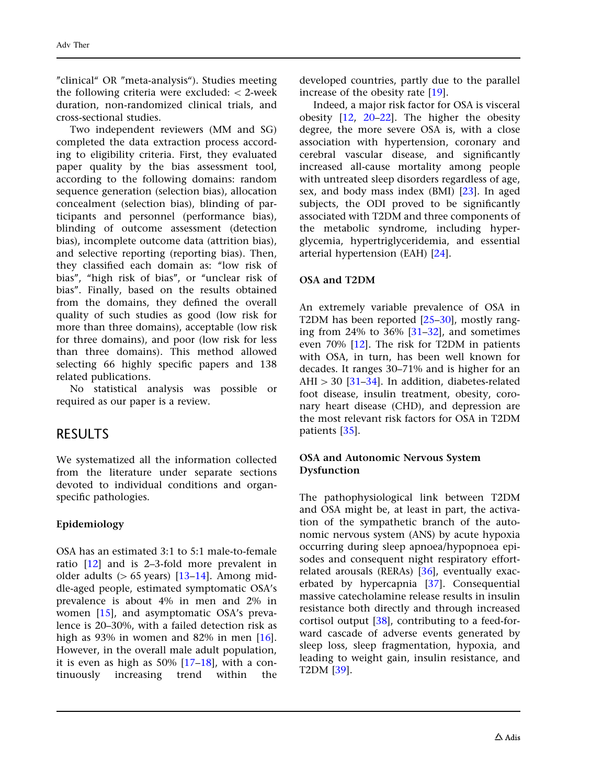''clinical'' OR ''meta-analysis''). Studies meeting the following criteria were excluded:  $\lt 2$ -week duration, non-randomized clinical trials, and cross-sectional studies.

Two independent reviewers (MM and SG) completed the data extraction process according to eligibility criteria. First, they evaluated paper quality by the bias assessment tool, according to the following domains: random sequence generation (selection bias), allocation concealment (selection bias), blinding of participants and personnel (performance bias), blinding of outcome assessment (detection bias), incomplete outcome data (attrition bias), and selective reporting (reporting bias). Then, they classified each domain as: ''low risk of bias", "high risk of bias", or "unclear risk of bias''. Finally, based on the results obtained from the domains, they defined the overall quality of such studies as good (low risk for more than three domains), acceptable (low risk for three domains), and poor (low risk for less than three domains). This method allowed selecting 66 highly specific papers and 138 related publications.

No statistical analysis was possible or required as our paper is a review.

### RESULTS

We systematized all the information collected from the literature under separate sections devoted to individual conditions and organspecific pathologies.

#### Epidemiology

OSA has an estimated 3:1 to 5:1 male-to-female ratio [[12](#page-9-0)] and is 2–3-fold more prevalent in older adults  $(> 65 \text{ years})$  [[13–14\]](#page-9-0). Among middle-aged people, estimated symptomatic OSA's prevalence is about 4% in men and 2% in women [\[15\]](#page-10-0), and asymptomatic OSA's prevalence is 20–30%, with a failed detection risk as high as 93% in women and 82% in men  $[16]$  $[16]$ . However, in the overall male adult population, it is even as high as 50% [[17](#page-10-0)–[18](#page-10-0)], with a continuously increasing trend within the

developed countries, partly due to the parallel increase of the obesity rate [[19](#page-10-0)].

Indeed, a major risk factor for OSA is visceral obesity [\[12,](#page-9-0) [20–22](#page-10-0)]. The higher the obesity degree, the more severe OSA is, with a close association with hypertension, coronary and cerebral vascular disease, and significantly increased all-cause mortality among people with untreated sleep disorders regardless of age, sex, and body mass index (BMI) [\[23\]](#page-10-0). In aged subjects, the ODI proved to be significantly associated with T2DM and three components of the metabolic syndrome, including hyperglycemia, hypertriglyceridemia, and essential arterial hypertension (EAH) [[24](#page-10-0)].

#### OSA and T2DM

An extremely variable prevalence of OSA in T2DM has been reported [[25–30\]](#page-10-0), mostly ranging from  $24\%$  to  $36\%$   $\left[31-32\right]$ , and sometimes even 70% [[12\]](#page-9-0). The risk for T2DM in patients with OSA, in turn, has been well known for decades. It ranges 30–71% and is higher for an AHI  $>$  30 [\[31–34](#page-10-0)]. In addition, diabetes-related foot disease, insulin treatment, obesity, coronary heart disease (CHD), and depression are the most relevant risk factors for OSA in T2DM patients [[35](#page-10-0)].

#### OSA and Autonomic Nervous System Dysfunction

The pathophysiological link between T2DM and OSA might be, at least in part, the activation of the sympathetic branch of the autonomic nervous system (ANS) by acute hypoxia occurring during sleep apnoea/hypopnoea episodes and consequent night respiratory effortrelated arousals (RERAs) [[36](#page-11-0)], eventually exacerbated by hypercapnia [\[37\]](#page-11-0). Consequential massive catecholamine release results in insulin resistance both directly and through increased cortisol output [[38](#page-11-0)], contributing to a feed-forward cascade of adverse events generated by sleep loss, sleep fragmentation, hypoxia, and leading to weight gain, insulin resistance, and T2DM [[39](#page-11-0)].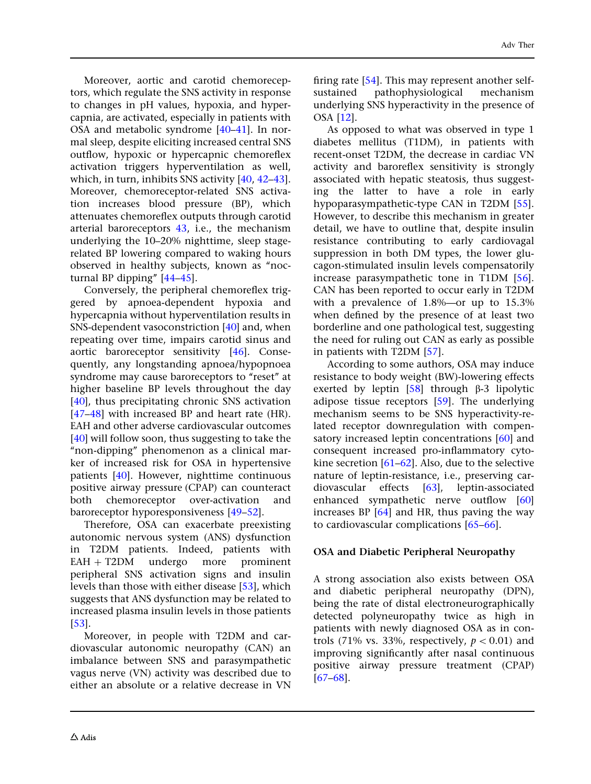Moreover, aortic and carotid chemoreceptors, which regulate the SNS activity in response to changes in pH values, hypoxia, and hypercapnia, are activated, especially in patients with OSA and metabolic syndrome [\[40–41\]](#page-11-0). In normal sleep, despite eliciting increased central SNS outflow, hypoxic or hypercapnic chemoreflex activation triggers hyperventilation as well, which, in turn, inhibits SNS activity [\[40,](#page-11-0) [42–43](#page-11-0)]. Moreover, chemoreceptor-related SNS activation increases blood pressure (BP), which attenuates chemoreflex outputs through carotid arterial baroreceptors [43,](#page-11-0) i.e., the mechanism underlying the 10–20% nighttime, sleep stagerelated BP lowering compared to waking hours observed in healthy subjects, known as ''nocturnal BP dipping'' [\[44–45](#page-11-0)].

Conversely, the peripheral chemoreflex triggered by apnoea-dependent hypoxia and hypercapnia without hyperventilation results in SNS-dependent vasoconstriction [\[40\]](#page-11-0) and, when repeating over time, impairs carotid sinus and aortic baroreceptor sensitivity [\[46\]](#page-11-0). Consequently, any longstanding apnoea/hypopnoea syndrome may cause baroreceptors to "reset" at higher baseline BP levels throughout the day [\[40\]](#page-11-0), thus precipitating chronic SNS activation [\[47–48](#page-11-0)] with increased BP and heart rate (HR). EAH and other adverse cardiovascular outcomes [\[40\]](#page-11-0) will follow soon, thus suggesting to take the "non-dipping" phenomenon as a clinical marker of increased risk for OSA in hypertensive patients [[40](#page-11-0)]. However, nighttime continuous positive airway pressure (CPAP) can counteract both chemoreceptor over-activation and baroreceptor hyporesponsiveness [[49–52](#page-11-0)].

Therefore, OSA can exacerbate preexisting autonomic nervous system (ANS) dysfunction in T2DM patients. Indeed, patients with  $EAH + T2DM$  undergo more prominent peripheral SNS activation signs and insulin levels than those with either disease [\[53](#page-11-0)], which suggests that ANS dysfunction may be related to increased plasma insulin levels in those patients [\[53\]](#page-11-0).

Moreover, in people with T2DM and cardiovascular autonomic neuropathy (CAN) an imbalance between SNS and parasympathetic vagus nerve (VN) activity was described due to either an absolute or a relative decrease in VN

firing rate [[54](#page-11-0)]. This may represent another selfsustained pathophysiological mechanism underlying SNS hyperactivity in the presence of OSA [[12](#page-9-0)].

As opposed to what was observed in type 1 diabetes mellitus (T1DM), in patients with recent-onset T2DM, the decrease in cardiac VN activity and baroreflex sensitivity is strongly associated with hepatic steatosis, thus suggesting the latter to have a role in early hypoparasympathetic-type CAN in T2DM [[55](#page-11-0)]. However, to describe this mechanism in greater detail, we have to outline that, despite insulin resistance contributing to early cardiovagal suppression in both DM types, the lower glucagon-stimulated insulin levels compensatorily increase parasympathetic tone in T1DM [[56](#page-11-0)]. CAN has been reported to occur early in T2DM with a prevalence of 1.8%—or up to 15.3% when defined by the presence of at least two borderline and one pathological test, suggesting the need for ruling out CAN as early as possible in patients with T2DM [\[57\]](#page-12-0).

According to some authors, OSA may induce resistance to body weight (BW)-lowering effects exerted by leptin  $[58]$  $[58]$  $[58]$  through  $\beta$ -3 lipolytic adipose tissue receptors [\[59\]](#page-12-0). The underlying mechanism seems to be SNS hyperactivity-related receptor downregulation with compensatory increased leptin concentrations [[60](#page-12-0)] and consequent increased pro-inflammatory cytokine secretion  $[61–62]$  $[61–62]$ . Also, due to the selective nature of leptin-resistance, i.e., preserving cardiovascular effects [\[63\]](#page-12-0), leptin-associated enhanced sympathetic nerve outflow [[60](#page-12-0)] increases BP [\[64\]](#page-12-0) and HR, thus paving the way to cardiovascular complications [[65–66](#page-12-0)].

#### OSA and Diabetic Peripheral Neuropathy

A strong association also exists between OSA and diabetic peripheral neuropathy (DPN), being the rate of distal electroneurographically detected polyneuropathy twice as high in patients with newly diagnosed OSA as in controls (71% vs. 33%, respectively,  $p < 0.01$ ) and improving significantly after nasal continuous positive airway pressure treatment (CPAP) [\[67–68](#page-12-0)].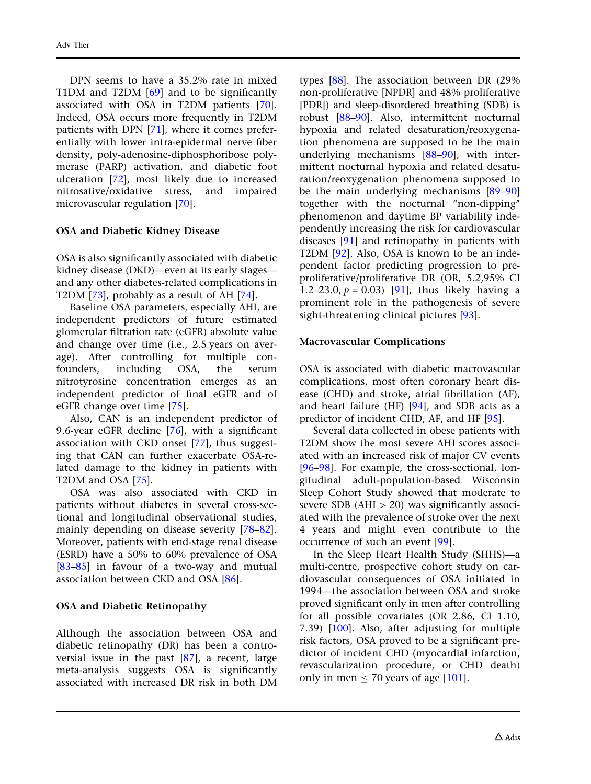DPN seems to have a 35.2% rate in mixed T1DM and T2DM [\[69\]](#page-12-0) and to be significantly associated with OSA in T2DM patients [[70\]](#page-12-0). Indeed, OSA occurs more frequently in T2DM patients with DPN [\[71\]](#page-12-0), where it comes preferentially with lower intra-epidermal nerve fiber density, poly-adenosine-diphosphoribose polymerase (PARP) activation, and diabetic foot ulceration [\[72\]](#page-12-0), most likely due to increased nitrosative/oxidative stress, and impaired microvascular regulation [[70\]](#page-12-0).

#### OSA and Diabetic Kidney Disease

OSA is also significantly associated with diabetic kidney disease (DKD)—even at its early stages and any other diabetes-related complications in T2DM [[73\]](#page-12-0), probably as a result of AH [\[74\]](#page-12-0).

Baseline OSA parameters, especially AHI, are independent predictors of future estimated glomerular filtration rate (eGFR) absolute value and change over time (i.e., 2.5 years on average). After controlling for multiple confounders, including OSA, the serum nitrotyrosine concentration emerges as an independent predictor of final eGFR and of eGFR change over time [[75](#page-12-0)].

Also, CAN is an independent predictor of 9.6-year eGFR decline  $[76]$  $[76]$  $[76]$ , with a significant association with CKD onset [[77](#page-12-0)], thus suggesting that CAN can further exacerbate OSA-related damage to the kidney in patients with T2DM and OSA [[75](#page-12-0)].

OSA was also associated with CKD in patients without diabetes in several cross-sectional and longitudinal observational studies, mainly depending on disease severity [\[78–82\]](#page-13-0). Moreover, patients with end-stage renal disease (ESRD) have a 50% to 60% prevalence of OSA [\[83–85\]](#page-13-0) in favour of a two-way and mutual association between CKD and OSA [[86](#page-13-0)].

#### OSA and Diabetic Retinopathy

Although the association between OSA and diabetic retinopathy (DR) has been a controversial issue in the past [[87](#page-13-0)], a recent, large meta-analysis suggests OSA is significantly associated with increased DR risk in both DM

types [[88](#page-13-0)]. The association between DR (29% non-proliferative [NPDR] and 48% proliferative [PDR]) and sleep-disordered breathing (SDB) is robust [\[88–90\]](#page-13-0). Also, intermittent nocturnal hypoxia and related desaturation/reoxygenation phenomena are supposed to be the main underlying mechanisms [\[88–90\]](#page-13-0), with intermittent nocturnal hypoxia and related desaturation/reoxygenation phenomena supposed to be the main underlying mechanisms [\[89–90](#page-13-0)] together with the nocturnal ''non-dipping'' phenomenon and daytime BP variability independently increasing the risk for cardiovascular diseases [\[91\]](#page-13-0) and retinopathy in patients with T2DM [\[92\]](#page-13-0). Also, OSA is known to be an independent factor predicting progression to preproliferative/proliferative DR (OR, 5.2,95% CI 1.2–23.0,  $p = 0.03$  [[91](#page-13-0)], thus likely having a prominent role in the pathogenesis of severe sight-threatening clinical pictures [[93](#page-13-0)].

#### Macrovascular Complications

OSA is associated with diabetic macrovascular complications, most often coronary heart disease (CHD) and stroke, atrial fibrillation (AF), and heart failure (HF) [\[94\]](#page-13-0), and SDB acts as a predictor of incident CHD, AF, and HF [\[95\]](#page-13-0).

Several data collected in obese patients with T2DM show the most severe AHI scores associated with an increased risk of major CV events [\[96–98](#page-13-0)]. For example, the cross-sectional, longitudinal adult-population-based Wisconsin Sleep Cohort Study showed that moderate to severe SDB (AHI  $> 20$ ) was significantly associated with the prevalence of stroke over the next 4 years and might even contribute to the occurrence of such an event [\[99\]](#page-14-0).

In the Sleep Heart Health Study (SHHS)—a multi-centre, prospective cohort study on cardiovascular consequences of OSA initiated in 1994—the association between OSA and stroke proved significant only in men after controlling for all possible covariates (OR 2.86, CI 1.10, 7.39) [\[100](#page-14-0)]. Also, after adjusting for multiple risk factors, OSA proved to be a significant predictor of incident CHD (myocardial infarction, revascularization procedure, or CHD death) only in men  $\leq$  70 years of age [[101](#page-14-0)].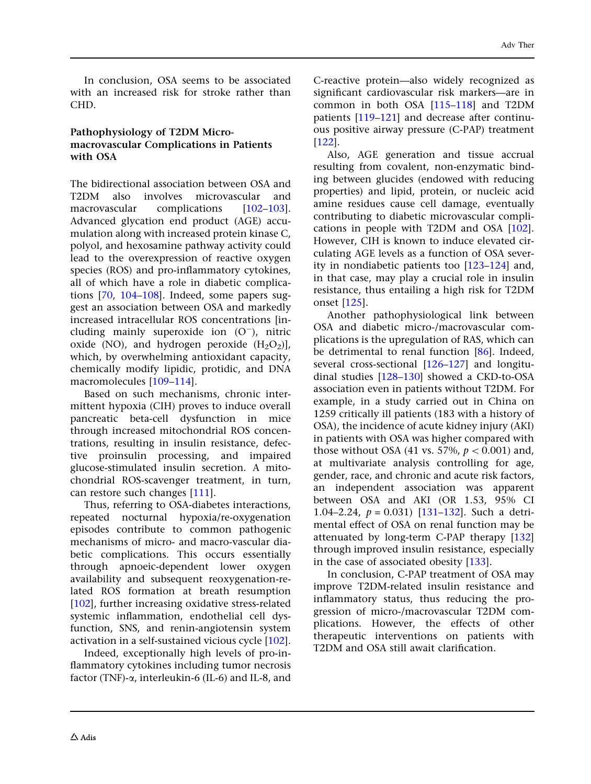In conclusion, OSA seems to be associated with an increased risk for stroke rather than CHD.

#### Pathophysiology of T2DM Micromacrovascular Complications in Patients with OSA

The bidirectional association between OSA and T2DM also involves microvascular and macrovascular complications [[102–103](#page-14-0)]. Advanced glycation end product (AGE) accumulation along with increased protein kinase C, polyol, and hexosamine pathway activity could lead to the overexpression of reactive oxygen species (ROS) and pro-inflammatory cytokines, all of which have a role in diabetic complications [\[70,](#page-12-0) [104–108](#page-14-0)]. Indeed, some papers suggest an association between OSA and markedly increased intracellular ROS concentrations [including mainly superoxide ion  $(O^-)$ , nitric oxide (NO), and hydrogen peroxide  $(H_2O_2)$ ], which, by overwhelming antioxidant capacity, chemically modify lipidic, protidic, and DNA macromolecules [\[109–114\]](#page-14-0).

Based on such mechanisms, chronic intermittent hypoxia (CIH) proves to induce overall pancreatic beta-cell dysfunction in mice through increased mitochondrial ROS concentrations, resulting in insulin resistance, defective proinsulin processing, and impaired glucose-stimulated insulin secretion. A mitochondrial ROS-scavenger treatment, in turn, can restore such changes [[111\]](#page-14-0).

Thus, referring to OSA-diabetes interactions, repeated nocturnal hypoxia/re-oxygenation episodes contribute to common pathogenic mechanisms of micro- and macro-vascular diabetic complications. This occurs essentially through apnoeic-dependent lower oxygen availability and subsequent reoxygenation-related ROS formation at breath resumption [\[102](#page-14-0)], further increasing oxidative stress-related systemic inflammation, endothelial cell dysfunction, SNS, and renin-angiotensin system activation in a self-sustained vicious cycle [[102](#page-14-0)].

Indeed, exceptionally high levels of pro-inflammatory cytokines including tumor necrosis factor (TNF)-a, interleukin-6 (IL-6) and IL-8, and C-reactive protein—also widely recognized as significant cardiovascular risk markers—are in common in both OSA [\[115–118](#page-14-0)] and T2DM patients [[119](#page-14-0)[–121](#page-15-0)] and decrease after continuous positive airway pressure (C-PAP) treatment [\[122\]](#page-15-0).

Also, AGE generation and tissue accrual resulting from covalent, non-enzymatic binding between glucides (endowed with reducing properties) and lipid, protein, or nucleic acid amine residues cause cell damage, eventually contributing to diabetic microvascular complications in people with T2DM and OSA [\[102](#page-14-0)]. However, CIH is known to induce elevated circulating AGE levels as a function of OSA severity in nondiabetic patients too [\[123–124](#page-15-0)] and, in that case, may play a crucial role in insulin resistance, thus entailing a high risk for T2DM onset [[125](#page-15-0)].

Another pathophysiological link between OSA and diabetic micro-/macrovascular complications is the upregulation of RAS, which can be detrimental to renal function [\[86\]](#page-13-0). Indeed, several cross-sectional [[126–127](#page-15-0)] and longitudinal studies [\[128–130](#page-15-0)] showed a CKD-to-OSA association even in patients without T2DM. For example, in a study carried out in China on 1259 critically ill patients (183 with a history of OSA), the incidence of acute kidney injury (AKI) in patients with OSA was higher compared with those without OSA (41 vs. 57%,  $p < 0.001$ ) and, at multivariate analysis controlling for age, gender, race, and chronic and acute risk factors, an independent association was apparent between OSA and AKI (OR 1.53, 95% CI 1.04–2.24,  $p = 0.031$  [[131–132](#page-15-0)]. Such a detrimental effect of OSA on renal function may be attenuated by long-term C-PAP therapy [\[132](#page-15-0)] through improved insulin resistance, especially in the case of associated obesity [[133\]](#page-15-0).

In conclusion, C-PAP treatment of OSA may improve T2DM-related insulin resistance and inflammatory status, thus reducing the progression of micro-/macrovascular T2DM complications. However, the effects of other therapeutic interventions on patients with T2DM and OSA still await clarification.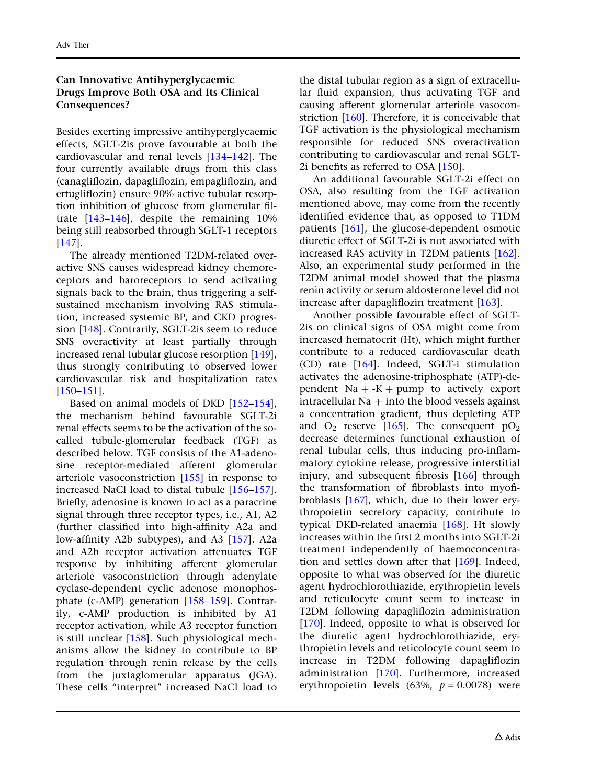### Can Innovative Antihyperglycaemic Drugs Improve Both OSA and Its Clinical Consequences?

Besides exerting impressive antihyperglycaemic effects, SGLT-2is prove favourable at both the cardiovascular and renal levels [[134–](#page-15-0)[142\]](#page-16-0). The four currently available drugs from this class (canagliflozin, dapagliflozin, empagliflozin, and ertugliflozin) ensure 90% active tubular resorption inhibition of glucose from glomerular filtrate [\[143–146\]](#page-16-0), despite the remaining 10% being still reabsorbed through SGLT-1 receptors [\[147](#page-16-0)].

The already mentioned T2DM-related overactive SNS causes widespread kidney chemoreceptors and baroreceptors to send activating signals back to the brain, thus triggering a selfsustained mechanism involving RAS stimulation, increased systemic BP, and CKD progression [\[148](#page-16-0)]. Contrarily, SGLT-2is seem to reduce SNS overactivity at least partially through increased renal tubular glucose resorption [[149\]](#page-16-0), thus strongly contributing to observed lower cardiovascular risk and hospitalization rates [\[150–151](#page-16-0)].

Based on animal models of DKD [[152–154\]](#page-16-0), the mechanism behind favourable SGLT-2i renal effects seems to be the activation of the socalled tubule-glomerular feedback (TGF) as described below. TGF consists of the A1-adenosine receptor-mediated afferent glomerular arteriole vasoconstriction [[155](#page-16-0)] in response to increased NaCl load to distal tubule [[156–157\]](#page-16-0). Briefly, adenosine is known to act as a paracrine signal through three receptor types, i.e., A1, A2 (further classified into high-affinity A2a and low-affinity A2b subtypes), and A3 [\[157\]](#page-16-0). A2a and A2b receptor activation attenuates TGF response by inhibiting afferent glomerular arteriole vasoconstriction through adenylate cyclase-dependent cyclic adenose monophosphate (c-AMP) generation [[158–159](#page-16-0)]. Contrarily, c-AMP production is inhibited by A1 receptor activation, while A3 receptor function is still unclear [[158\]](#page-16-0). Such physiological mechanisms allow the kidney to contribute to BP regulation through renin release by the cells from the juxtaglomerular apparatus (JGA). These cells "interpret" increased NaCl load to the distal tubular region as a sign of extracellular fluid expansion, thus activating TGF and causing afferent glomerular arteriole vasoconstriction [[160\]](#page-17-0). Therefore, it is conceivable that TGF activation is the physiological mechanism responsible for reduced SNS overactivation contributing to cardiovascular and renal SGLT-2i benefits as referred to OSA [\[150](#page-16-0)].

An additional favourable SGLT-2i effect on OSA, also resulting from the TGF activation mentioned above, may come from the recently identified evidence that, as opposed to T1DM patients [\[161](#page-17-0)], the glucose-dependent osmotic diuretic effect of SGLT-2i is not associated with increased RAS activity in T2DM patients [\[162](#page-17-0)]. Also, an experimental study performed in the T2DM animal model showed that the plasma renin activity or serum aldosterone level did not increase after dapagliflozin treatment [[163\]](#page-17-0).

Another possible favourable effect of SGLT-2is on clinical signs of OSA might come from increased hematocrit (Ht), which might further contribute to a reduced cardiovascular death (CD) rate [\[164\]](#page-17-0). Indeed, SGLT-i stimulation activates the adenosine-triphosphate (ATP)-dependent  $Na + -K + pump$  to actively export intracellular  $Na + into the blood vessels against$ a concentration gradient, thus depleting ATP and  $O_2$  reserve [\[165](#page-17-0)]. The consequent  $pO_2$ decrease determines functional exhaustion of renal tubular cells, thus inducing pro-inflammatory cytokine release, progressive interstitial injury, and subsequent fibrosis [[166\]](#page-17-0) through the transformation of fibroblasts into myofibroblasts [[167](#page-17-0)], which, due to their lower erythropoietin secretory capacity, contribute to typical DKD-related anaemia [\[168](#page-17-0)]. Ht slowly increases within the first 2 months into SGLT-2i treatment independently of haemoconcentration and settles down after that [[169](#page-17-0)]. Indeed, opposite to what was observed for the diuretic agent hydrochlorothiazide, erythropietin levels and reticulocyte count seem to increase in T2DM following dapagliflozin administration [\[170](#page-17-0)]. Indeed, opposite to what is observed for the diuretic agent hydrochlorothiazide, erythropietin levels and reticolocyte count seem to increase in T2DM following dapagliflozin administration [[170\]](#page-17-0). Furthermore, increased erythropoietin levels (63%,  $p = 0.0078$ ) were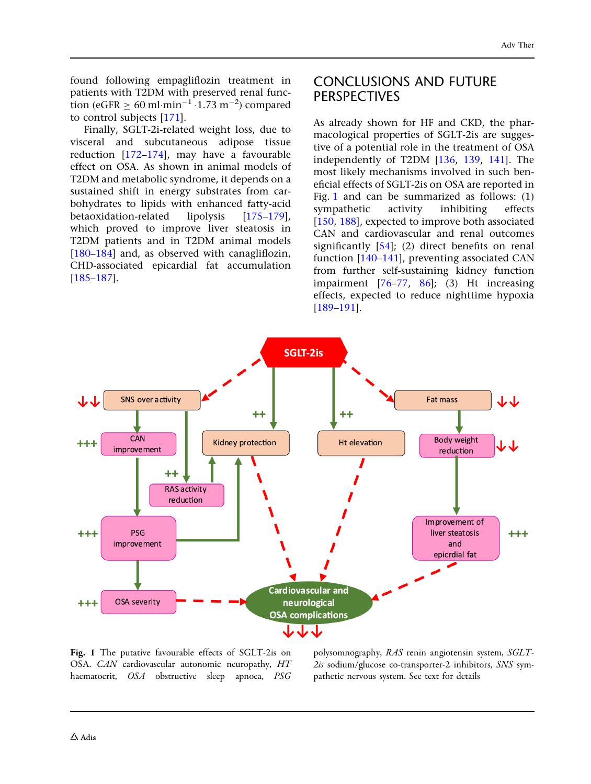found following empagliflozin treatment in patients with T2DM with preserved renal function (eGFR  $\geq 60 \text{ ml} \cdot \text{min}^{-1} \cdot 1.73 \text{ m}^{-2}$ ) compared to control subjects [[171\]](#page-17-0).

Finally, SGLT-2i-related weight loss, due to visceral and subcutaneous adipose tissue reduction [[172–174](#page-17-0)], may have a favourable effect on OSA. As shown in animal models of T2DM and metabolic syndrome, it depends on a sustained shift in energy substrates from carbohydrates to lipids with enhanced fatty-acid betaoxidation-related lipolysis [[175–](#page-17-0)[179](#page-18-0)], which proved to improve liver steatosis in T2DM patients and in T2DM animal models [\[180–184](#page-18-0)] and, as observed with canagliflozin, CHD-associated epicardial fat accumulation [\[185–187](#page-18-0)].

## CONCLUSIONS AND FUTURE **PERSPECTIVES**

As already shown for HF and CKD, the pharmacological properties of SGLT-2is are suggestive of a potential role in the treatment of OSA independently of T2DM [[136,](#page-15-0) [139](#page-15-0), [141](#page-16-0)]. The most likely mechanisms involved in such beneficial effects of SGLT-2is on OSA are reported in Fig. 1 and can be summarized as follows: (1) sympathetic activity inhibiting effects [\[150,](#page-16-0) [188](#page-18-0)], expected to improve both associated CAN and cardiovascular and renal outcomes significantly  $[54]$ ; (2) direct benefits on renal function [\[140](#page-15-0)[–141](#page-16-0)], preventing associated CAN from further self-sustaining kidney function impairment [\[76–77](#page-12-0), [86](#page-13-0)]; (3) Ht increasing effects, expected to reduce nighttime hypoxia [\[189–191\]](#page-18-0).



Fig. 1 The putative favourable effects of SGLT-2is on OSA. CAN cardiovascular autonomic neuropathy, HT haematocrit, OSA obstructive sleep apnoea, PSG

polysomnography, RAS renin angiotensin system, SGLT-2is sodium/glucose co-transporter-2 inhibitors, SNS sympathetic nervous system. See text for details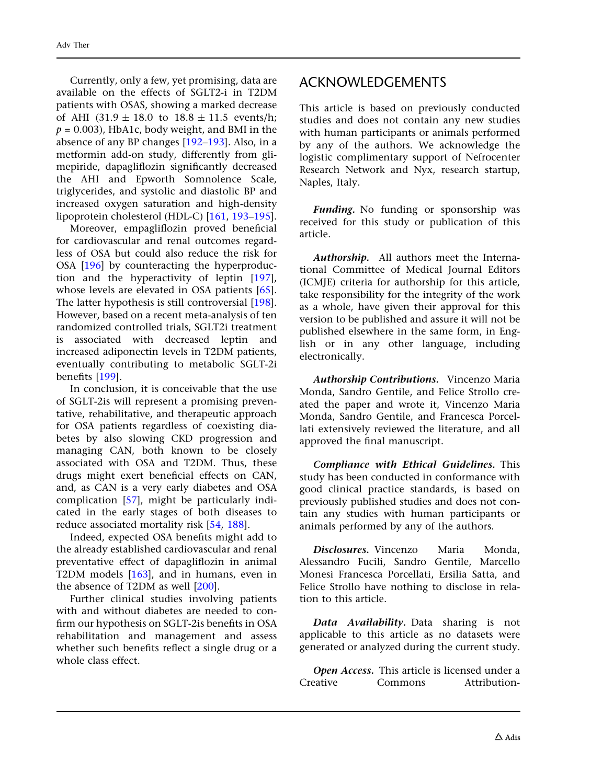Currently, only a few, yet promising, data are available on the effects of SGLT2-i in T2DM patients with OSAS, showing a marked decrease of AHI  $(31.9 \pm 18.0)$  to  $18.8 \pm 11.5$  events/h;  $p = 0.003$ ), HbA1c, body weight, and BMI in the absence of any BP changes [\[192–193](#page-18-0)]. Also, in a metformin add-on study, differently from glimepiride, dapagliflozin significantly decreased the AHI and Epworth Somnolence Scale, triglycerides, and systolic and diastolic BP and increased oxygen saturation and high-density lipoprotein cholesterol (HDL-C) [[161](#page-17-0), [193–195\]](#page-18-0).

Moreover, empagliflozin proved beneficial for cardiovascular and renal outcomes regardless of OSA but could also reduce the risk for OSA [[196\]](#page-18-0) by counteracting the hyperproduction and the hyperactivity of leptin [[197\]](#page-18-0), whose levels are elevated in OSA patients [[65\]](#page-12-0). The latter hypothesis is still controversial [[198\]](#page-19-0). However, based on a recent meta-analysis of ten randomized controlled trials, SGLT2i treatment is associated with decreased leptin and increased adiponectin levels in T2DM patients, eventually contributing to metabolic SGLT-2i benefits [[199\]](#page-19-0).

In conclusion, it is conceivable that the use of SGLT-2is will represent a promising preventative, rehabilitative, and therapeutic approach for OSA patients regardless of coexisting diabetes by also slowing CKD progression and managing CAN, both known to be closely associated with OSA and T2DM. Thus, these drugs might exert beneficial effects on CAN, and, as CAN is a very early diabetes and OSA complication [[57](#page-12-0)], might be particularly indicated in the early stages of both diseases to reduce associated mortality risk [\[54,](#page-11-0) [188](#page-18-0)].

Indeed, expected OSA benefits might add to the already established cardiovascular and renal preventative effect of dapagliflozin in animal T2DM models [\[163](#page-17-0)], and in humans, even in the absence of T2DM as well [\[200\]](#page-19-0).

Further clinical studies involving patients with and without diabetes are needed to confirm our hypothesis on SGLT-2is benefits in OSA rehabilitation and management and assess whether such benefits reflect a single drug or a whole class effect.

## ACKNOWLEDGEMENTS

This article is based on previously conducted studies and does not contain any new studies with human participants or animals performed by any of the authors. We acknowledge the logistic complimentary support of Nefrocenter Research Network and Nyx, research startup, Naples, Italy.

Funding. No funding or sponsorship was received for this study or publication of this article.

Authorship. All authors meet the International Committee of Medical Journal Editors (ICMJE) criteria for authorship for this article, take responsibility for the integrity of the work as a whole, have given their approval for this version to be published and assure it will not be published elsewhere in the same form, in English or in any other language, including electronically.

Authorship Contributions. Vincenzo Maria Monda, Sandro Gentile, and Felice Strollo created the paper and wrote it, Vincenzo Maria Monda, Sandro Gentile, and Francesca Porcellati extensively reviewed the literature, and all approved the final manuscript.

Compliance with Ethical Guidelines. This study has been conducted in conformance with good clinical practice standards, is based on previously published studies and does not contain any studies with human participants or animals performed by any of the authors.

Disclosures. Vincenzo Maria Monda, Alessandro Fucili, Sandro Gentile, Marcello Monesi Francesca Porcellati, Ersilia Satta, and Felice Strollo have nothing to disclose in relation to this article.

Data Availability. Data sharing is not applicable to this article as no datasets were generated or analyzed during the current study.

Open Access. This article is licensed under a Creative Commons Attribution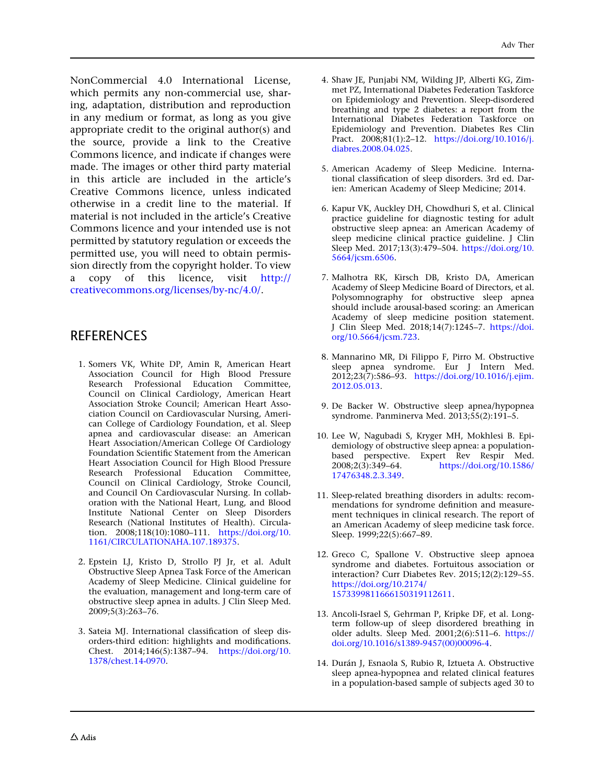<span id="page-9-0"></span>NonCommercial 4.0 International License, which permits any non-commercial use, sharing, adaptation, distribution and reproduction in any medium or format, as long as you give appropriate credit to the original author(s) and the source, provide a link to the Creative Commons licence, and indicate if changes were made. The images or other third party material in this article are included in the article's Creative Commons licence, unless indicated otherwise in a credit line to the material. If material is not included in the article's Creative Commons licence and your intended use is not permitted by statutory regulation or exceeds the permitted use, you will need to obtain permission directly from the copyright holder. To view a copy of this licence, visit [http://](http://creativecommons.org/licenses/by-nc/4.0/) [creativecommons.org/licenses/by-nc/4.0/.](http://creativecommons.org/licenses/by-nc/4.0/)

## **REFERENCES**

- 1. Somers VK, White DP, Amin R, American Heart Association Council for High Blood Pressure Research Professional Education Committee, Council on Clinical Cardiology, American Heart Association Stroke Council; American Heart Association Council on Cardiovascular Nursing, American College of Cardiology Foundation, et al. Sleep apnea and cardiovascular disease: an American Heart Association/American College Of Cardiology Foundation Scientific Statement from the American Heart Association Council for High Blood Pressure Research Professional Education Committee, Council on Clinical Cardiology, Stroke Council, and Council On Cardiovascular Nursing. In collaboration with the National Heart, Lung, and Blood Institute National Center on Sleep Disorders Research (National Institutes of Health). Circulation. 2008;118(10):1080–111. [https://doi.org/10.](https://doi.org/10.1161/CIRCULATIONAHA.107.189375) [1161/CIRCULATIONAHA.107.189375](https://doi.org/10.1161/CIRCULATIONAHA.107.189375).
- 2. Epstein LJ, Kristo D, Strollo PJ Jr, et al. Adult Obstructive Sleep Apnea Task Force of the American Academy of Sleep Medicine. Clinical guideline for the evaluation, management and long-term care of obstructive sleep apnea in adults. J Clin Sleep Med. 2009;5(3):263–76.
- 3. Sateia MJ. International classification of sleep disorders-third edition: highlights and modifications. Chest. 2014;146(5):1387–94. [https://doi.org/10.](https://doi.org/10.1378/chest.14-0970) [1378/chest.14-0970.](https://doi.org/10.1378/chest.14-0970)
- 4. Shaw JE, Punjabi NM, Wilding JP, Alberti KG, Zimmet PZ, International Diabetes Federation Taskforce on Epidemiology and Prevention. Sleep-disordered breathing and type 2 diabetes: a report from the International Diabetes Federation Taskforce on Epidemiology and Prevention. Diabetes Res Clin Pract. 2008;81(1):2–12. [https://doi.org/10.1016/j.](https://doi.org/10.1016/j.diabres.2008.04.025) [diabres.2008.04.025.](https://doi.org/10.1016/j.diabres.2008.04.025)
- 5. American Academy of Sleep Medicine. International classification of sleep disorders. 3rd ed. Darien: American Academy of Sleep Medicine; 2014.
- 6. Kapur VK, Auckley DH, Chowdhuri S, et al. Clinical practice guideline for diagnostic testing for adult obstructive sleep apnea: an American Academy of sleep medicine clinical practice guideline. J Clin Sleep Med. 2017;13(3):479–504. [https://doi.org/10.](https://doi.org/10.5664/jcsm.6506) [5664/jcsm.6506](https://doi.org/10.5664/jcsm.6506).
- 7. Malhotra RK, Kirsch DB, Kristo DA, American Academy of Sleep Medicine Board of Directors, et al. Polysomnography for obstructive sleep apnea should include arousal-based scoring: an American Academy of sleep medicine position statement. J Clin Sleep Med. 2018;14(7):1245–7. [https://doi.](https://doi.org/10.5664/jcsm.723) [org/10.5664/jcsm.723.](https://doi.org/10.5664/jcsm.723)
- 8. Mannarino MR, Di Filippo F, Pirro M. Obstructive sleep apnea syndrome. Eur J Intern Med. 2012;23(7):586–93. [https://doi.org/10.1016/j.ejim.](https://doi.org/10.1016/j.ejim.2012.05.013) [2012.05.013](https://doi.org/10.1016/j.ejim.2012.05.013).
- 9. De Backer W. Obstructive sleep apnea/hypopnea syndrome. Panminerva Med. 2013;55(2):191–5.
- 10. Lee W, Nagubadi S, Kryger MH, Mokhlesi B. Epidemiology of obstructive sleep apnea: a populationbased perspective. Expert Rev Respir Med.<br>2008;2(3):349–64. https://doi.org/10.1586/ 2008;2(3):349–64. [https://doi.org/10.1586/](https://doi.org/10.1586/17476348.2.3.349) [17476348.2.3.349.](https://doi.org/10.1586/17476348.2.3.349)
- 11. Sleep-related breathing disorders in adults: recommendations for syndrome definition and measurement techniques in clinical research. The report of an American Academy of sleep medicine task force. Sleep. 1999;22(5):667–89.
- 12. Greco C, Spallone V. Obstructive sleep apnoea syndrome and diabetes. Fortuitous association or interaction? Curr Diabetes Rev. 2015;12(2):129–55. [https://doi.org/10.2174/](https://doi.org/10.2174/1573399811666150319112611) [1573399811666150319112611.](https://doi.org/10.2174/1573399811666150319112611)
- 13. Ancoli-Israel S, Gehrman P, Kripke DF, et al. Longterm follow-up of sleep disordered breathing in older adults. Sleep Med. 2001;2(6):511–6. [https://](https://doi.org/10.1016/s1389-9457(00)00096-4) [doi.org/10.1016/s1389-9457\(00\)00096-4](https://doi.org/10.1016/s1389-9457(00)00096-4).
- 14. Durán J, Esnaola S, Rubio R, Iztueta A. Obstructive sleep apnea-hypopnea and related clinical features in a population-based sample of subjects aged 30 to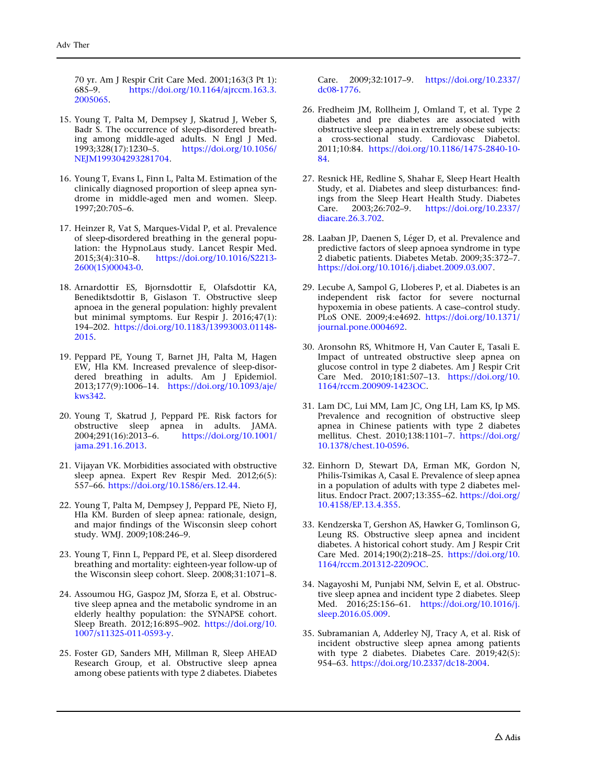<span id="page-10-0"></span>70 yr. Am J Respir Crit Care Med. 2001;163(3 Pt 1):<br>685–9. https://doi.org/10.1164/ajrccm.163.3. [https://doi.org/10.1164/ajrccm.163.3.](https://doi.org/10.1164/ajrccm.163.3.2005065) [2005065](https://doi.org/10.1164/ajrccm.163.3.2005065).

- 15. Young T, Palta M, Dempsey J, Skatrud J, Weber S, Badr S. The occurrence of sleep-disordered breathing among middle-aged adults. N Engl J Med. 1993;328(17):1230–5. [https://doi.org/10.1056/](https://doi.org/10.1056/NEJM199304293281704) [NEJM199304293281704.](https://doi.org/10.1056/NEJM199304293281704)
- 16. Young T, Evans L, Finn L, Palta M. Estimation of the clinically diagnosed proportion of sleep apnea syndrome in middle-aged men and women. Sleep. 1997;20:705–6.
- 17. Heinzer R, Vat S, Marques-Vidal P, et al. Prevalence of sleep-disordered breathing in the general population: the HypnoLaus study. Lancet Respir Med. 2015;3(4):310–8. [https://doi.org/10.1016/S2213-](https://doi.org/10.1016/S2213-2600(15)00043-0) [2600\(15\)00043-0](https://doi.org/10.1016/S2213-2600(15)00043-0).
- 18. Arnardottir ES, Bjornsdottir E, Olafsdottir KA, Benediktsdottir B, Gislason T. Obstructive sleep apnoea in the general population: highly prevalent but minimal symptoms. Eur Respir J. 2016;47(1): 194–202. [https://doi.org/10.1183/13993003.01148-](https://doi.org/10.1183/13993003.01148-2015) [2015.](https://doi.org/10.1183/13993003.01148-2015)
- 19. Peppard PE, Young T, Barnet JH, Palta M, Hagen EW, Hla KM. Increased prevalence of sleep-disordered breathing in adults. Am J Epidemiol. 2013;177(9):1006–14. [https://doi.org/10.1093/aje/](https://doi.org/10.1093/aje/kws342) [kws342](https://doi.org/10.1093/aje/kws342).
- 20. Young T, Skatrud J, Peppard PE. Risk factors for obstructive sleep apnea in adults. JAMA. 2004;291(16):2013–6. [https://doi.org/10.1001/](https://doi.org/10.1001/jama.291.16.2013) [jama.291.16.2013.](https://doi.org/10.1001/jama.291.16.2013)
- 21. Vijayan VK. Morbidities associated with obstructive sleep apnea. Expert Rev Respir Med. 2012;6(5): 557–66. [https://doi.org/10.1586/ers.12.44.](https://doi.org/10.1586/ers.12.44)
- 22. Young T, Palta M, Dempsey J, Peppard PE, Nieto FJ, Hla KM. Burden of sleep apnea: rationale, design, and major findings of the Wisconsin sleep cohort study. WMJ. 2009;108:246–9.
- 23. Young T, Finn L, Peppard PE, et al. Sleep disordered breathing and mortality: eighteen-year follow-up of the Wisconsin sleep cohort. Sleep. 2008;31:1071–8.
- 24. Assoumou HG, Gaspoz JM, Sforza E, et al. Obstructive sleep apnea and the metabolic syndrome in an elderly healthy population: the SYNAPSE cohort. Sleep Breath. 2012;16:895–902. [https://doi.org/10.](https://doi.org/10.1007/s11325-011-0593-y) [1007/s11325-011-0593-y.](https://doi.org/10.1007/s11325-011-0593-y)
- 25. Foster GD, Sanders MH, Millman R, Sleep AHEAD Research Group, et al. Obstructive sleep apnea among obese patients with type 2 diabetes. Diabetes

Care. 2009;32:1017–9. [https://doi.org/10.2337/](https://doi.org/10.2337/dc08-1776) [dc08-1776.](https://doi.org/10.2337/dc08-1776)

- 26. Fredheim JM, Rollheim J, Omland T, et al. Type 2 diabetes and pre diabetes are associated with obstructive sleep apnea in extremely obese subjects: a cross-sectional study. Cardiovasc Diabetol. 2011;10:84. [https://doi.org/10.1186/1475-2840-10-](https://doi.org/10.1186/1475-2840-10-84) [84](https://doi.org/10.1186/1475-2840-10-84).
- 27. Resnick HE, Redline S, Shahar E, Sleep Heart Health Study, et al. Diabetes and sleep disturbances: findings from the Sleep Heart Health Study. Diabetes Care. 2003;26:702–9. [https://doi.org/10.2337/](https://doi.org/10.2337/diacare.26.3.702) [diacare.26.3.702.](https://doi.org/10.2337/diacare.26.3.702)
- 28. Laaban JP, Daenen S, Léger D, et al. Prevalence and predictive factors of sleep apnoea syndrome in type 2 diabetic patients. Diabetes Metab. 2009;35:372–7. [https://doi.org/10.1016/j.diabet.2009.03.007.](https://doi.org/10.1016/j.diabet.2009.03.007)
- 29. Lecube A, Sampol G, Lloberes P, et al. Diabetes is an independent risk factor for severe nocturnal hypoxemia in obese patients. A case–control study. PLoS ONE. 2009;4:e4692. [https://doi.org/10.1371/](https://doi.org/10.1371/journal.pone.0004692) [journal.pone.0004692.](https://doi.org/10.1371/journal.pone.0004692)
- 30. Aronsohn RS, Whitmore H, Van Cauter E, Tasali E. Impact of untreated obstructive sleep apnea on glucose control in type 2 diabetes. Am J Respir Crit Care Med. 2010;181:507–13. [https://doi.org/10.](https://doi.org/10.1164/rccm.200909-1423OC) [1164/rccm.200909-1423OC.](https://doi.org/10.1164/rccm.200909-1423OC)
- 31. Lam DC, Lui MM, Lam JC, Ong LH, Lam KS, Ip MS. Prevalence and recognition of obstructive sleep apnea in Chinese patients with type 2 diabetes mellitus. Chest. 2010;138:1101–7. [https://doi.org/](https://doi.org/10.1378/chest.10-0596) [10.1378/chest.10-0596](https://doi.org/10.1378/chest.10-0596).
- 32. Einhorn D, Stewart DA, Erman MK, Gordon N, Philis-Tsimikas A, Casal E. Prevalence of sleep apnea in a population of adults with type 2 diabetes mellitus. Endocr Pract. 2007;13:355–62. [https://doi.org/](https://doi.org/10.4158/EP.13.4.355) [10.4158/EP.13.4.355](https://doi.org/10.4158/EP.13.4.355).
- 33. Kendzerska T, Gershon AS, Hawker G, Tomlinson G, Leung RS. Obstructive sleep apnea and incident diabetes. A historical cohort study. Am J Respir Crit Care Med. 2014;190(2):218–25. [https://doi.org/10.](https://doi.org/10.1164/rccm.201312-2209OC) [1164/rccm.201312-2209OC.](https://doi.org/10.1164/rccm.201312-2209OC)
- 34. Nagayoshi M, Punjabi NM, Selvin E, et al. Obstructive sleep apnea and incident type 2 diabetes. Sleep Med. 2016;25:156–61. [https://doi.org/10.1016/j.](https://doi.org/10.1016/j.sleep.2016.05.009) [sleep.2016.05.009](https://doi.org/10.1016/j.sleep.2016.05.009).
- 35. Subramanian A, Adderley NJ, Tracy A, et al. Risk of incident obstructive sleep apnea among patients with type 2 diabetes. Diabetes Care. 2019;42(5): 954–63. <https://doi.org/10.2337/dc18-2004>.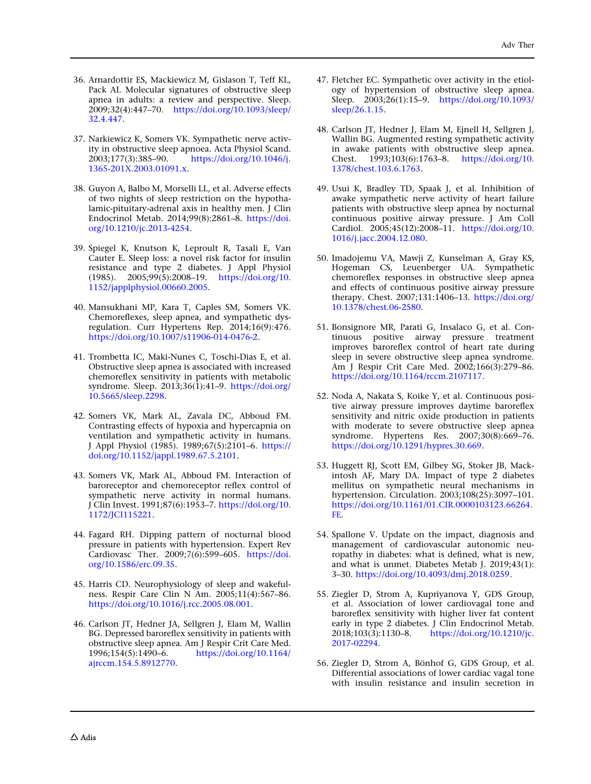- <span id="page-11-0"></span>36. Arnardottir ES, Mackiewicz M, Gislason T, Teff KL, Pack AI. Molecular signatures of obstructive sleep apnea in adults: a review and perspective. Sleep. 2009;32(4):447–70. [https://doi.org/10.1093/sleep/](https://doi.org/10.1093/sleep/32.4.447) [32.4.447](https://doi.org/10.1093/sleep/32.4.447).
- 37. Narkiewicz K, Somers VK. Sympathetic nerve activity in obstructive sleep apnoea. Acta Physiol Scand. 2003;177(3):385–90. [https://doi.org/10.1046/j.](https://doi.org/10.1046/j.1365-201X.2003.01091.x) [1365-201X.2003.01091.x](https://doi.org/10.1046/j.1365-201X.2003.01091.x).
- 38. Guyon A, Balbo M, Morselli LL, et al. Adverse effects of two nights of sleep restriction on the hypothalamic-pituitary-adrenal axis in healthy men. J Clin Endocrinol Metab. 2014;99(8):2861–8. [https://doi.](https://doi.org/10.1210/jc.2013-4254) [org/10.1210/jc.2013-4254](https://doi.org/10.1210/jc.2013-4254).
- 39. Spiegel K, Knutson K, Leproult R, Tasali E, Van Cauter E. Sleep loss: a novel risk factor for insulin resistance and type 2 diabetes. J Appl Physiol (1985). 2005;99(5):2008–19. [https://doi.org/10.](https://doi.org/10.1152/japplphysiol.00660.2005) [1152/japplphysiol.00660.2005.](https://doi.org/10.1152/japplphysiol.00660.2005)
- 40. Mansukhani MP, Kara T, Caples SM, Somers VK. Chemoreflexes, sleep apnea, and sympathetic dysregulation. Curr Hypertens Rep. 2014;16(9):476. [https://doi.org/10.1007/s11906-014-0476-2.](https://doi.org/10.1007/s11906-014-0476-2)
- 41. Trombetta IC, Maki-Nunes C, Toschi-Dias E, et al. Obstructive sleep apnea is associated with increased chemoreflex sensitivity in patients with metabolic syndrome. Sleep. 2013;36(1):41–9. [https://doi.org/](https://doi.org/10.5665/sleep.2298) [10.5665/sleep.2298.](https://doi.org/10.5665/sleep.2298)
- 42. Somers VK, Mark AL, Zavala DC, Abboud FM. Contrasting effects of hypoxia and hypercapnia on ventilation and sympathetic activity in humans. J Appl Physiol (1985). 1989;67(5):2101–6. [https://](https://doi.org/10.1152/jappl.1989.67.5.2101) [doi.org/10.1152/jappl.1989.67.5.2101.](https://doi.org/10.1152/jappl.1989.67.5.2101)
- 43. Somers VK, Mark AL, Abboud FM. Interaction of baroreceptor and chemoreceptor reflex control of sympathetic nerve activity in normal humans. J Clin Invest. 1991;87(6):1953–7. [https://doi.org/10.](https://doi.org/10.1172/JCI115221) [1172/JCI115221](https://doi.org/10.1172/JCI115221).
- 44. Fagard RH. Dipping pattern of nocturnal blood pressure in patients with hypertension. Expert Rev Cardiovasc Ther. 2009;7(6):599–605. [https://doi.](https://doi.org/10.1586/erc.09.35) [org/10.1586/erc.09.35](https://doi.org/10.1586/erc.09.35).
- 45. Harris CD. Neurophysiology of sleep and wakefulness. Respir Care Clin N Am. 2005;11(4):567–86. [https://doi.org/10.1016/j.rcc.2005.08.001.](https://doi.org/10.1016/j.rcc.2005.08.001)
- 46. Carlson JT, Hedner JA, Sellgren J, Elam M, Wallin BG. Depressed baroreflex sensitivity in patients with obstructive sleep apnea. Am J Respir Crit Care Med. 1996;154(5):1490–6. [https://doi.org/10.1164/](https://doi.org/10.1164/ajrccm.154.5.8912770) [ajrccm.154.5.8912770.](https://doi.org/10.1164/ajrccm.154.5.8912770)
- 47. Fletcher EC. Sympathetic over activity in the etiology of hypertension of obstructive sleep apnea. Sleep. 2003;26(1):15–9. [https://doi.org/10.1093/](https://doi.org/10.1093/sleep/26.1.15) [sleep/26.1.15.](https://doi.org/10.1093/sleep/26.1.15)
- 48. Carlson JT, Hedner J, Elam M, Ejnell H, Sellgren J, Wallin BG. Augmented resting sympathetic activity in awake patients with obstructive sleep apnea. Chest. 1993;103(6):1763–8. [https://doi.org/10.](https://doi.org/10.1378/chest.103.6.1763) [1378/chest.103.6.1763.](https://doi.org/10.1378/chest.103.6.1763)
- 49. Usui K, Bradley TD, Spaak J, et al. Inhibition of awake sympathetic nerve activity of heart failure patients with obstructive sleep apnea by nocturnal continuous positive airway pressure. J Am Coll Cardiol. 2005;45(12):2008–11. [https://doi.org/10.](https://doi.org/10.1016/j.jacc.2004.12.080) [1016/j.jacc.2004.12.080.](https://doi.org/10.1016/j.jacc.2004.12.080)
- 50. Imadojemu VA, Mawji Z, Kunselman A, Gray KS, Hogeman CS, Leuenberger UA. Sympathetic chemoreflex responses in obstructive sleep apnea and effects of continuous positive airway pressure therapy. Chest. 2007;131:1406–13. [https://doi.org/](https://doi.org/10.1378/chest.06-2580) [10.1378/chest.06-2580](https://doi.org/10.1378/chest.06-2580).
- 51. Bonsignore MR, Parati G, Insalaco G, et al. Continuous positive airway pressure treatment improves baroreflex control of heart rate during sleep in severe obstructive sleep apnea syndrome. Am J Respir Crit Care Med. 2002;166(3):279–86. <https://doi.org/10.1164/rccm.2107117>.
- 52. Noda A, Nakata S, Koike Y, et al. Continuous positive airway pressure improves daytime baroreflex sensitivity and nitric oxide production in patients with moderate to severe obstructive sleep apnea syndrome. Hypertens Res. 2007;30(8):669–76. [https://doi.org/10.1291/hypres.30.669.](https://doi.org/10.1291/hypres.30.669)
- 53. Huggett RJ, Scott EM, Gilbey SG, Stoker JB, Mackintosh AF, Mary DA. Impact of type 2 diabetes mellitus on sympathetic neural mechanisms in hypertension. Circulation. 2003;108(25):3097–101. [https://doi.org/10.1161/01.CIR.0000103123.66264.](https://doi.org/10.1161/01.CIR.0000103123.66264.FE) [FE.](https://doi.org/10.1161/01.CIR.0000103123.66264.FE)
- 54. Spallone V. Update on the impact, diagnosis and management of cardiovascular autonomic neuropathy in diabetes: what is defined, what is new, and what is unmet. Diabetes Metab J. 2019;43(1): 3–30. [https://doi.org/10.4093/dmj.2018.0259.](https://doi.org/10.4093/dmj.2018.0259)
- 55. Ziegler D, Strom A, Kupriyanova Y, GDS Group, et al. Association of lower cardiovagal tone and baroreflex sensitivity with higher liver fat content early in type 2 diabetes. J Clin Endocrinol Metab. 2018;103(3):1130–8. [https://doi.org/10.1210/jc.](https://doi.org/10.1210/jc.2017-02294) [2017-02294.](https://doi.org/10.1210/jc.2017-02294)
- 56. Ziegler D, Strom A, Bönhof G, GDS Group, et al. Differential associations of lower cardiac vagal tone with insulin resistance and insulin secretion in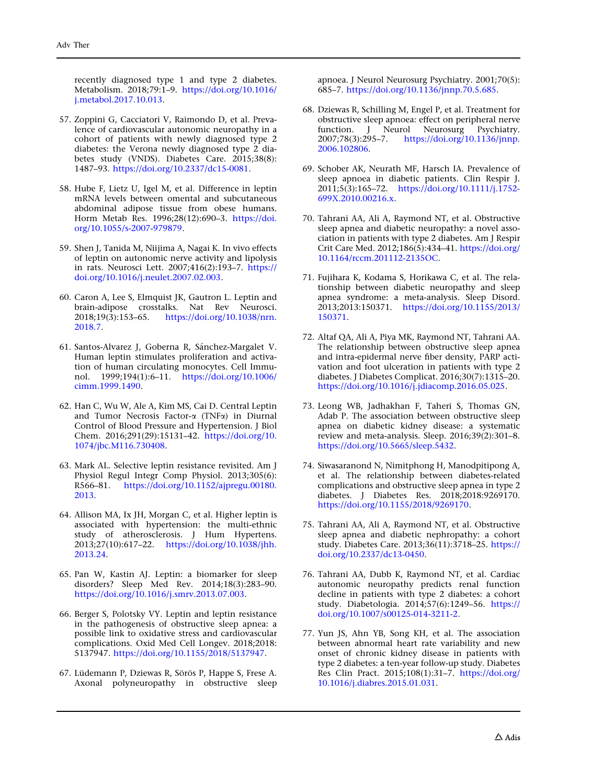<span id="page-12-0"></span>recently diagnosed type 1 and type 2 diabetes. Metabolism. 2018;79:1–9. [https://doi.org/10.1016/](https://doi.org/10.1016/j.metabol.2017.10.013) [j.metabol.2017.10.013.](https://doi.org/10.1016/j.metabol.2017.10.013)

- 57. Zoppini G, Cacciatori V, Raimondo D, et al. Prevalence of cardiovascular autonomic neuropathy in a cohort of patients with newly diagnosed type 2 diabetes: the Verona newly diagnosed type 2 diabetes study (VNDS). Diabetes Care. 2015;38(8): 1487–93. [https://doi.org/10.2337/dc15-0081.](https://doi.org/10.2337/dc15-0081)
- 58. Hube F, Lietz U, Igel M, et al. Difference in leptin mRNA levels between omental and subcutaneous abdominal adipose tissue from obese humans. Horm Metab Res. 1996;28(12):690–3. [https://doi.](https://doi.org/10.1055/s-2007-979879) [org/10.1055/s-2007-979879.](https://doi.org/10.1055/s-2007-979879)
- 59. Shen J, Tanida M, Niijima A, Nagai K. In vivo effects of leptin on autonomic nerve activity and lipolysis in rats. Neurosci Lett. 2007;416(2):193–7. [https://](https://doi.org/10.1016/j.neulet.2007.02.003) [doi.org/10.1016/j.neulet.2007.02.003.](https://doi.org/10.1016/j.neulet.2007.02.003)
- 60. Caron A, Lee S, Elmquist JK, Gautron L. Leptin and brain-adipose crosstalks. Nat Rev Neurosci. 2018;19(3):153–65. [https://doi.org/10.1038/nrn.](https://doi.org/10.1038/nrn.2018.7) [2018.7.](https://doi.org/10.1038/nrn.2018.7)
- 61. Santos-Alvarez J, Goberna R, Sánchez-Margalet V. Human leptin stimulates proliferation and activation of human circulating monocytes. Cell Immunol. 1999;194(1):6–11. [https://doi.org/10.1006/](https://doi.org/10.1006/cimm.1999.1490) [cimm.1999.1490.](https://doi.org/10.1006/cimm.1999.1490)
- 62. Han C, Wu W, Ale A, Kim MS, Cai D. Central Leptin and Tumor Necrosis Factor-a (TNFa) in Diurnal Control of Blood Pressure and Hypertension. J Biol Chem. 2016;291(29):15131–42. [https://doi.org/10.](https://doi.org/10.1074/jbc.M116.730408) [1074/jbc.M116.730408](https://doi.org/10.1074/jbc.M116.730408).
- 63. Mark AL. Selective leptin resistance revisited. Am J Physiol Regul Integr Comp Physiol. 2013;305(6): R566–81. [https://doi.org/10.1152/ajpregu.00180.](https://doi.org/10.1152/ajpregu.00180.2013) [2013.](https://doi.org/10.1152/ajpregu.00180.2013)
- 64. Allison MA, Ix JH, Morgan C, et al. Higher leptin is associated with hypertension: the multi-ethnic study of atherosclerosis. J Hum Hypertens. 2013;27(10):617–22. [https://doi.org/10.1038/jhh.](https://doi.org/10.1038/jhh.2013.24) [2013.24.](https://doi.org/10.1038/jhh.2013.24)
- 65. Pan W, Kastin AJ. Leptin: a biomarker for sleep disorders? Sleep Med Rev. 2014;18(3):283–90. <https://doi.org/10.1016/j.smrv.2013.07.003>.
- 66. Berger S, Polotsky VY. Leptin and leptin resistance in the pathogenesis of obstructive sleep apnea: a possible link to oxidative stress and cardiovascular complications. Oxid Med Cell Longev. 2018;2018: 5137947. [https://doi.org/10.1155/2018/5137947.](https://doi.org/10.1155/2018/5137947)
- 67. Lüdemann P, Dziewas R, Sörös P, Happe S, Frese A. Axonal polyneuropathy in obstructive sleep

apnoea. J Neurol Neurosurg Psychiatry. 2001;70(5): 685–7. <https://doi.org/10.1136/jnnp.70.5.685>.

- 68. Dziewas R, Schilling M, Engel P, et al. Treatment for obstructive sleep apnoea: effect on peripheral nerve function. J Neurol Neurosurg Psychiatry.<br>2007;78(3):295-7. https://doi.org/10.1136/jnnp. [https://doi.org/10.1136/jnnp.](https://doi.org/10.1136/jnnp.2006.102806) [2006.102806](https://doi.org/10.1136/jnnp.2006.102806).
- 69. Schober AK, Neurath MF, Harsch IA. Prevalence of sleep apnoea in diabetic patients. Clin Respir J. 2011;5(3):165–72. [https://doi.org/10.1111/j.1752-](https://doi.org/10.1111/j.1752-699X.2010.00216.x) [699X.2010.00216.x](https://doi.org/10.1111/j.1752-699X.2010.00216.x).
- 70. Tahrani AA, Ali A, Raymond NT, et al. Obstructive sleep apnea and diabetic neuropathy: a novel association in patients with type 2 diabetes. Am J Respir Crit Care Med. 2012;186(5):434–41. [https://doi.org/](https://doi.org/10.1164/rccm.201112-2135OC) [10.1164/rccm.201112-2135OC.](https://doi.org/10.1164/rccm.201112-2135OC)
- 71. Fujihara K, Kodama S, Horikawa C, et al. The relationship between diabetic neuropathy and sleep apnea syndrome: a meta-analysis. Sleep Disord. 2013;2013:150371. [https://doi.org/10.1155/2013/](https://doi.org/10.1155/2013/150371) [150371](https://doi.org/10.1155/2013/150371).
- 72. Altaf QA, Ali A, Piya MK, Raymond NT, Tahrani AA. The relationship between obstructive sleep apnea and intra-epidermal nerve fiber density, PARP activation and foot ulceration in patients with type 2 diabetes. J Diabetes Complicat. 2016;30(7):1315–20. <https://doi.org/10.1016/j.jdiacomp.2016.05.025>.
- 73. Leong WB, Jadhakhan F, Taheri S, Thomas GN, Adab P. The association between obstructive sleep apnea on diabetic kidney disease: a systematic review and meta-analysis. Sleep. 2016;39(2):301–8. [https://doi.org/10.5665/sleep.5432.](https://doi.org/10.5665/sleep.5432)
- 74. Siwasaranond N, Nimitphong H, Manodpitipong A, et al. The relationship between diabetes-related complications and obstructive sleep apnea in type 2 diabetes. J Diabetes Res. 2018;2018:9269170. [https://doi.org/10.1155/2018/9269170.](https://doi.org/10.1155/2018/9269170)
- 75. Tahrani AA, Ali A, Raymond NT, et al. Obstructive sleep apnea and diabetic nephropathy: a cohort study. Diabetes Care. 2013;36(11):3718–25. [https://](https://doi.org/10.2337/dc13-0450) [doi.org/10.2337/dc13-0450.](https://doi.org/10.2337/dc13-0450)
- 76. Tahrani AA, Dubb K, Raymond NT, et al. Cardiac autonomic neuropathy predicts renal function decline in patients with type 2 diabetes: a cohort study. Diabetologia. 2014;57(6):1249–56. [https://](https://doi.org/10.1007/s00125-014-3211-2) [doi.org/10.1007/s00125-014-3211-2.](https://doi.org/10.1007/s00125-014-3211-2)
- 77. Yun JS, Ahn YB, Song KH, et al. The association between abnormal heart rate variability and new onset of chronic kidney disease in patients with type 2 diabetes: a ten-year follow-up study. Diabetes Res Clin Pract. 2015;108(1):31–7. [https://doi.org/](https://doi.org/10.1016/j.diabres.2015.01.031) [10.1016/j.diabres.2015.01.031](https://doi.org/10.1016/j.diabres.2015.01.031).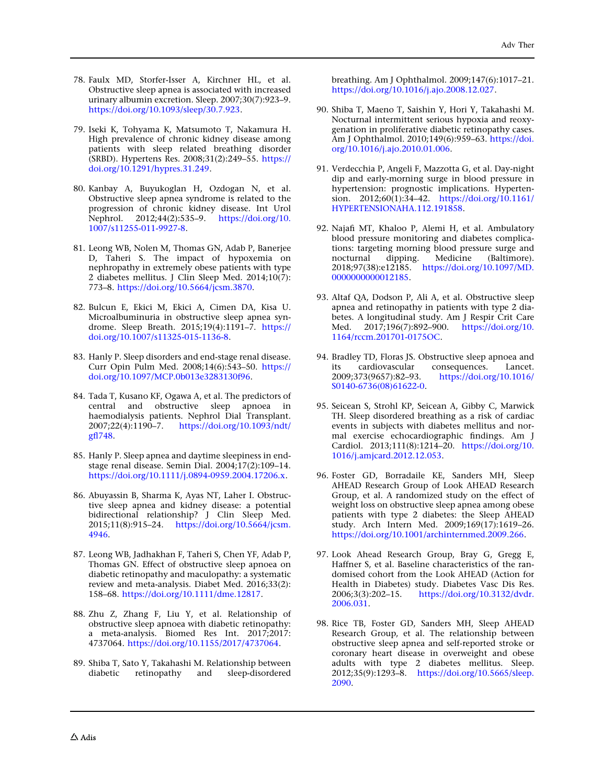- <span id="page-13-0"></span>78. Faulx MD, Storfer-Isser A, Kirchner HL, et al. Obstructive sleep apnea is associated with increased urinary albumin excretion. Sleep. 2007;30(7):923–9. <https://doi.org/10.1093/sleep/30.7.923>.
- 79. Iseki K, Tohyama K, Matsumoto T, Nakamura H. High prevalence of chronic kidney disease among patients with sleep related breathing disorder (SRBD). Hypertens Res. 2008;31(2):249–55. [https://](https://doi.org/10.1291/hypres.31.249) [doi.org/10.1291/hypres.31.249](https://doi.org/10.1291/hypres.31.249).
- 80. Kanbay A, Buyukoglan H, Ozdogan N, et al. Obstructive sleep apnea syndrome is related to the progression of chronic kidney disease. Int Urol Nephrol. 2012;44(2):535–9. [https://doi.org/10.](https://doi.org/10.1007/s11255-011-9927-8) [1007/s11255-011-9927-8.](https://doi.org/10.1007/s11255-011-9927-8)
- 81. Leong WB, Nolen M, Thomas GN, Adab P, Banerjee D, Taheri S. The impact of hypoxemia on nephropathy in extremely obese patients with type 2 diabetes mellitus. J Clin Sleep Med. 2014;10(7): 773–8. <https://doi.org/10.5664/jcsm.3870>.
- 82. Bulcun E, Ekici M, Ekici A, Cimen DA, Kisa U. Microalbuminuria in obstructive sleep apnea syndrome. Sleep Breath. 2015;19(4):1191–7. [https://](https://doi.org/10.1007/s11325-015-1136-8) [doi.org/10.1007/s11325-015-1136-8.](https://doi.org/10.1007/s11325-015-1136-8)
- 83. Hanly P. Sleep disorders and end-stage renal disease. Curr Opin Pulm Med. 2008;14(6):543–50. [https://](https://doi.org/10.1097/MCP.0b013e3283130f96) [doi.org/10.1097/MCP.0b013e3283130f96](https://doi.org/10.1097/MCP.0b013e3283130f96).
- 84. Tada T, Kusano KF, Ogawa A, et al. The predictors of central and obstructive sleep apnoea in haemodialysis patients. Nephrol Dial Transplant.<br>2007;22(4):1190-7. https://doi.org/10.1093/ndt/ [https://doi.org/10.1093/ndt/](https://doi.org/10.1093/ndt/gfl748) [gfl748.](https://doi.org/10.1093/ndt/gfl748)
- 85. Hanly P. Sleep apnea and daytime sleepiness in endstage renal disease. Semin Dial. 2004;17(2):109–14. [https://doi.org/10.1111/j.0894-0959.2004.17206.x.](https://doi.org/10.1111/j.0894-0959.2004.17206.x)
- 86. Abuyassin B, Sharma K, Ayas NT, Laher I. Obstructive sleep apnea and kidney disease: a potential bidirectional relationship? J Clin Sleep Med. 2015;11(8):915–24. [https://doi.org/10.5664/jcsm.](https://doi.org/10.5664/jcsm.4946) [4946.](https://doi.org/10.5664/jcsm.4946)
- 87. Leong WB, Jadhakhan F, Taheri S, Chen YF, Adab P, Thomas GN. Effect of obstructive sleep apnoea on diabetic retinopathy and maculopathy: a systematic review and meta-analysis. Diabet Med. 2016;33(2): 158–68. [https://doi.org/10.1111/dme.12817.](https://doi.org/10.1111/dme.12817)
- 88. Zhu Z, Zhang F, Liu Y, et al. Relationship of obstructive sleep apnoea with diabetic retinopathy: a meta-analysis. Biomed Res Int. 2017;2017: 4737064. [https://doi.org/10.1155/2017/4737064.](https://doi.org/10.1155/2017/4737064)
- 89. Shiba T, Sato Y, Takahashi M. Relationship between diabetic retinopathy and sleep-disordered

breathing. Am J Ophthalmol. 2009;147(6):1017–21. <https://doi.org/10.1016/j.ajo.2008.12.027>.

- 90. Shiba T, Maeno T, Saishin Y, Hori Y, Takahashi M. Nocturnal intermittent serious hypoxia and reoxygenation in proliferative diabetic retinopathy cases. Am J Ophthalmol. 2010;149(6):959–63. [https://doi.](https://doi.org/10.1016/j.ajo.2010.01.006) [org/10.1016/j.ajo.2010.01.006.](https://doi.org/10.1016/j.ajo.2010.01.006)
- 91. Verdecchia P, Angeli F, Mazzotta G, et al. Day-night dip and early-morning surge in blood pressure in hypertension: prognostic implications. Hypertension.  $2012;60(1):34-42$ . [https://doi.org/10.1161/](https://doi.org/10.1161/HYPERTENSIONAHA.112.191858) [HYPERTENSIONAHA.112.191858](https://doi.org/10.1161/HYPERTENSIONAHA.112.191858).
- 92. Najafi MT, Khaloo P, Alemi H, et al. Ambulatory blood pressure monitoring and diabetes complications: targeting morning blood pressure surge and nocturnal dipping. Medicine (Baltimore). nocturnal dipping. Medicine (Baltimore). 2018;97(38):e12185. [https://doi.org/10.1097/MD.](https://doi.org/10.1097/MD.0000000000012185) [0000000000012185](https://doi.org/10.1097/MD.0000000000012185).
- 93. Altaf QA, Dodson P, Ali A, et al. Obstructive sleep apnea and retinopathy in patients with type 2 diabetes. A longitudinal study. Am J Respir Crit Care Med. 2017;196(7):892–900. [https://doi.org/10.](https://doi.org/10.1164/rccm.201701-0175OC) [1164/rccm.201701-0175OC.](https://doi.org/10.1164/rccm.201701-0175OC)
- 94. Bradley TD, Floras JS. Obstructive sleep apnoea and its cardiovascular consequences. Lancet. 2009;373(9657):82–93. [https://doi.org/10.1016/](https://doi.org/10.1016/S0140-6736(08)61622-0) [S0140-6736\(08\)61622-0](https://doi.org/10.1016/S0140-6736(08)61622-0).
- 95. Seicean S, Strohl KP, Seicean A, Gibby C, Marwick TH. Sleep disordered breathing as a risk of cardiac events in subjects with diabetes mellitus and normal exercise echocardiographic findings. Am J Cardiol. 2013;111(8):1214–20. [https://doi.org/10.](https://doi.org/10.1016/j.amjcard.2012.12.053) [1016/j.amjcard.2012.12.053](https://doi.org/10.1016/j.amjcard.2012.12.053).
- 96. Foster GD, Borradaile KE, Sanders MH, Sleep AHEAD Research Group of Look AHEAD Research Group, et al. A randomized study on the effect of weight loss on obstructive sleep apnea among obese patients with type 2 diabetes: the Sleep AHEAD study. Arch Intern Med. 2009;169(17):1619–26. <https://doi.org/10.1001/archinternmed.2009.266>.
- 97. Look Ahead Research Group, Bray G, Gregg E, Haffner S, et al. Baseline characteristics of the randomised cohort from the Look AHEAD (Action for Health in Diabetes) study. Diabetes Vasc Dis Res. 2006;3(3):202–15. [https://doi.org/10.3132/dvdr.](https://doi.org/10.3132/dvdr.2006.031) [2006.031.](https://doi.org/10.3132/dvdr.2006.031)
- 98. Rice TB, Foster GD, Sanders MH, Sleep AHEAD Research Group, et al. The relationship between obstructive sleep apnea and self-reported stroke or coronary heart disease in overweight and obese adults with type 2 diabetes mellitus. Sleep. 2012;35(9):1293–8. [https://doi.org/10.5665/sleep.](https://doi.org/10.5665/sleep.2090) [2090.](https://doi.org/10.5665/sleep.2090)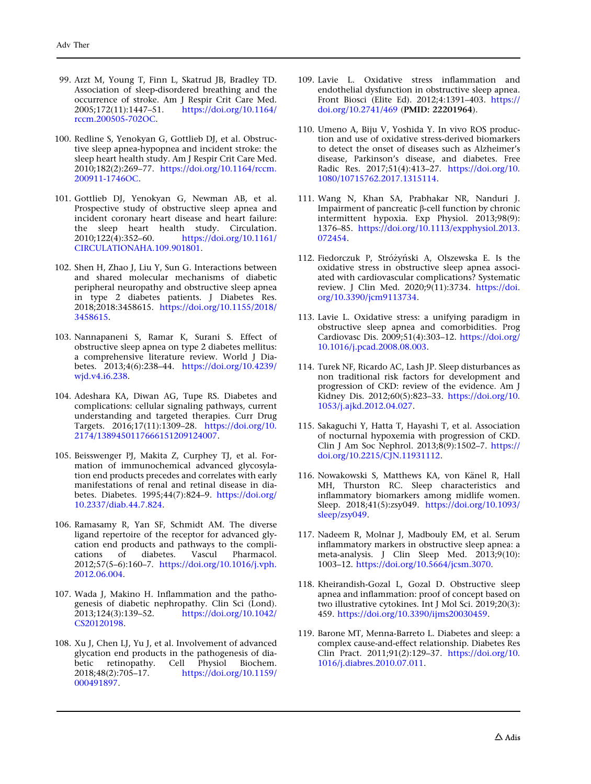- <span id="page-14-0"></span>99. Arzt M, Young T, Finn L, Skatrud JB, Bradley TD. Association of sleep-disordered breathing and the occurrence of stroke. Am J Respir Crit Care Med.<br>2005:172(11):1447–51. https://doi.org/10.1164/ 2005;172(11):1447–51. [https://doi.org/10.1164/](https://doi.org/10.1164/rccm.200505-702OC) [rccm.200505-702OC.](https://doi.org/10.1164/rccm.200505-702OC)
- 100. Redline S, Yenokyan G, Gottlieb DJ, et al. Obstructive sleep apnea-hypopnea and incident stroke: the sleep heart health study. Am J Respir Crit Care Med. 2010;182(2):269–77. [https://doi.org/10.1164/rccm.](https://doi.org/10.1164/rccm.200911-1746OC) [200911-1746OC.](https://doi.org/10.1164/rccm.200911-1746OC)
- 101. Gottlieb DJ, Yenokyan G, Newman AB, et al. Prospective study of obstructive sleep apnea and incident coronary heart disease and heart failure: the sleep heart health study. Circulation. 2010;122(4):352–60. [https://doi.org/10.1161/](https://doi.org/10.1161/CIRCULATIONAHA.109.901801) [CIRCULATIONAHA.109.901801](https://doi.org/10.1161/CIRCULATIONAHA.109.901801).
- 102. Shen H, Zhao J, Liu Y, Sun G. Interactions between and shared molecular mechanisms of diabetic peripheral neuropathy and obstructive sleep apnea in type 2 diabetes patients. J Diabetes Res. 2018;2018:3458615. [https://doi.org/10.1155/2018/](https://doi.org/10.1155/2018/3458615) [3458615](https://doi.org/10.1155/2018/3458615).
- 103. Nannapaneni S, Ramar K, Surani S. Effect of obstructive sleep apnea on type 2 diabetes mellitus: a comprehensive literature review. World J Diabetes. 2013;4(6):238–44. [https://doi.org/10.4239/](https://doi.org/10.4239/wjd.v4.i6.238) [wjd.v4.i6.238.](https://doi.org/10.4239/wjd.v4.i6.238)
- 104. Adeshara KA, Diwan AG, Tupe RS. Diabetes and complications: cellular signaling pathways, current understanding and targeted therapies. Curr Drug Targets. 2016;17(11):1309–28. [https://doi.org/10.](https://doi.org/10.2174/1389450117666151209124007) [2174/1389450117666151209124007](https://doi.org/10.2174/1389450117666151209124007).
- 105. Beisswenger PJ, Makita Z, Curphey TJ, et al. Formation of immunochemical advanced glycosylation end products precedes and correlates with early manifestations of renal and retinal disease in diabetes. Diabetes. 1995;44(7):824–9. [https://doi.org/](https://doi.org/10.2337/diab.44.7.824) [10.2337/diab.44.7.824.](https://doi.org/10.2337/diab.44.7.824)
- 106. Ramasamy R, Yan SF, Schmidt AM. The diverse ligand repertoire of the receptor for advanced glycation end products and pathways to the complications of diabetes. Vascul Pharmacol. 2012;57(5–6):160–7. [https://doi.org/10.1016/j.vph.](https://doi.org/10.1016/j.vph.2012.06.004) [2012.06.004.](https://doi.org/10.1016/j.vph.2012.06.004)
- 107. Wada J, Makino H. Inflammation and the pathogenesis of diabetic nephropathy. Clin Sci (Lond). 2013;124(3):139–52. [https://doi.org/10.1042/](https://doi.org/10.1042/CS20120198) [CS20120198](https://doi.org/10.1042/CS20120198).
- 108. Xu J, Chen LJ, Yu J, et al. Involvement of advanced glycation end products in the pathogenesis of diabetic retinopathy. Cell Physiol Biochem. 2018;48(2):705–17. [https://doi.org/10.1159/](https://doi.org/10.1159/000491897) [000491897.](https://doi.org/10.1159/000491897)
- 109. Lavie L. Oxidative stress inflammation and endothelial dysfunction in obstructive sleep apnea. Front Biosci (Elite Ed). 2012;4:1391–403. [https://](https://doi.org/10.2741/469) [doi.org/10.2741/469](https://doi.org/10.2741/469) (PMID: 22201964).
- 110. Umeno A, Biju V, Yoshida Y. In vivo ROS production and use of oxidative stress-derived biomarkers to detect the onset of diseases such as Alzheimer's disease, Parkinson's disease, and diabetes. Free Radic Res. 2017;51(4):413–27. [https://doi.org/10.](https://doi.org/10.1080/10715762.2017.1315114) [1080/10715762.2017.1315114](https://doi.org/10.1080/10715762.2017.1315114).
- 111. Wang N, Khan SA, Prabhakar NR, Nanduri J. Impairment of pancreatic  $\beta$ -cell function by chronic intermittent hypoxia. Exp Physiol. 2013;98(9): 1376–85. [https://doi.org/10.1113/expphysiol.2013.](https://doi.org/10.1113/expphysiol.2013.072454) [072454](https://doi.org/10.1113/expphysiol.2013.072454).
- 112. Fiedorczuk P, Stróżyński A, Olszewska E. Is the oxidative stress in obstructive sleep apnea associated with cardiovascular complications? Systematic review. J Clin Med. 2020;9(11):3734. [https://doi.](https://doi.org/10.3390/jcm9113734) [org/10.3390/jcm9113734](https://doi.org/10.3390/jcm9113734).
- 113. Lavie L. Oxidative stress: a unifying paradigm in obstructive sleep apnea and comorbidities. Prog Cardiovasc Dis. 2009;51(4):303–12. [https://doi.org/](https://doi.org/10.1016/j.pcad.2008.08.003) [10.1016/j.pcad.2008.08.003](https://doi.org/10.1016/j.pcad.2008.08.003).
- 114. Turek NF, Ricardo AC, Lash JP. Sleep disturbances as non traditional risk factors for development and progression of CKD: review of the evidence. Am J Kidney Dis. 2012;60(5):823–33. [https://doi.org/10.](https://doi.org/10.1053/j.ajkd.2012.04.027) [1053/j.ajkd.2012.04.027.](https://doi.org/10.1053/j.ajkd.2012.04.027)
- 115. Sakaguchi Y, Hatta T, Hayashi T, et al. Association of nocturnal hypoxemia with progression of CKD. Clin J Am Soc Nephrol. 2013;8(9):1502–7. [https://](https://doi.org/10.2215/CJN.11931112) [doi.org/10.2215/CJN.11931112.](https://doi.org/10.2215/CJN.11931112)
- 116. Nowakowski S, Matthews KA, von Känel R, Hall MH, Thurston RC. Sleep characteristics and inflammatory biomarkers among midlife women. Sleep. 2018;41(5):zsy049. [https://doi.org/10.1093/](https://doi.org/10.1093/sleep/zsy049) [sleep/zsy049.](https://doi.org/10.1093/sleep/zsy049)
- 117. Nadeem R, Molnar J, Madbouly EM, et al. Serum inflammatory markers in obstructive sleep apnea: a meta-analysis. J Clin Sleep Med. 2013;9(10): 1003–12. [https://doi.org/10.5664/jcsm.3070.](https://doi.org/10.5664/jcsm.3070)
- 118. Kheirandish-Gozal L, Gozal D. Obstructive sleep apnea and inflammation: proof of concept based on two illustrative cytokines. Int J Mol Sci. 2019;20(3): 459. <https://doi.org/10.3390/ijms20030459>.
- 119. Barone MT, Menna-Barreto L. Diabetes and sleep: a complex cause-and-effect relationship. Diabetes Res Clin Pract. 2011;91(2):129–37. [https://doi.org/10.](https://doi.org/10.1016/j.diabres.2010.07.011) [1016/j.diabres.2010.07.011](https://doi.org/10.1016/j.diabres.2010.07.011).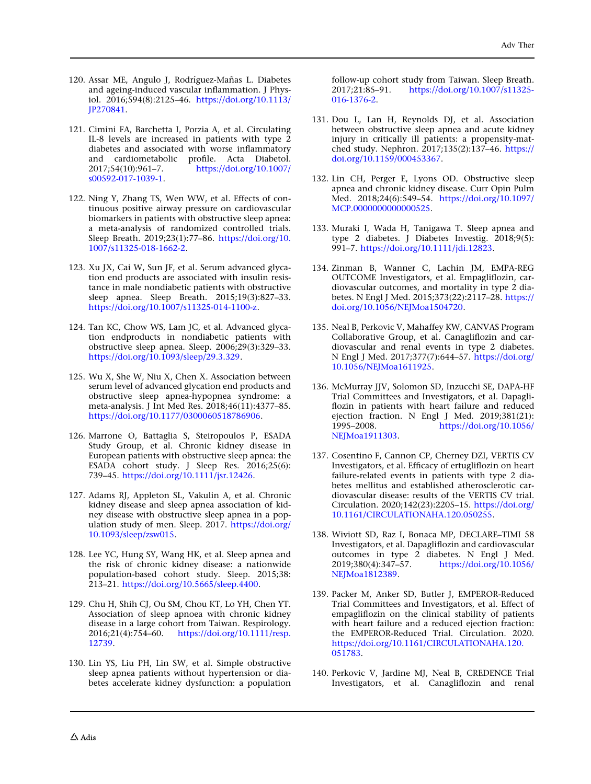- <span id="page-15-0"></span>120. Assar ME, Angulo J, Rodríguez-Mañas L. Diabetes and ageing-induced vascular inflammation. J Physiol. 2016;594(8):2125–46. [https://doi.org/10.1113/](https://doi.org/10.1113/JP270841) [JP270841](https://doi.org/10.1113/JP270841).
- 121. Cimini FA, Barchetta I, Porzia A, et al. Circulating IL-8 levels are increased in patients with type 2 diabetes and associated with worse inflammatory and cardiometabolic profile. Acta Diabetol. 2017;54(10):961–7. [https://doi.org/10.1007/](https://doi.org/10.1007/s00592-017-1039-1) [s00592-017-1039-1](https://doi.org/10.1007/s00592-017-1039-1).
- 122. Ning Y, Zhang TS, Wen WW, et al. Effects of continuous positive airway pressure on cardiovascular biomarkers in patients with obstructive sleep apnea: a meta-analysis of randomized controlled trials. Sleep Breath. 2019;23(1):77–86. [https://doi.org/10.](https://doi.org/10.1007/s11325-018-1662-2) [1007/s11325-018-1662-2.](https://doi.org/10.1007/s11325-018-1662-2)
- 123. Xu JX, Cai W, Sun JF, et al. Serum advanced glycation end products are associated with insulin resistance in male nondiabetic patients with obstructive sleep apnea. Sleep Breath. 2015;19(3):827–33. <https://doi.org/10.1007/s11325-014-1100-z>.
- 124. Tan KC, Chow WS, Lam JC, et al. Advanced glycation endproducts in nondiabetic patients with obstructive sleep apnea. Sleep. 2006;29(3):329–33. <https://doi.org/10.1093/sleep/29.3.329>.
- 125. Wu X, She W, Niu X, Chen X. Association between serum level of advanced glycation end products and obstructive sleep apnea-hypopnea syndrome: a meta-analysis. J Int Med Res. 2018;46(11):4377–85. [https://doi.org/10.1177/0300060518786906.](https://doi.org/10.1177/0300060518786906)
- 126. Marrone O, Battaglia S, Steiropoulos P, ESADA Study Group, et al. Chronic kidney disease in European patients with obstructive sleep apnea: the ESADA cohort study. J Sleep Res. 2016;25(6): 739–45. [https://doi.org/10.1111/jsr.12426.](https://doi.org/10.1111/jsr.12426)
- 127. Adams RJ, Appleton SL, Vakulin A, et al. Chronic kidney disease and sleep apnea association of kidney disease with obstructive sleep apnea in a population study of men. Sleep. 2017. [https://doi.org/](https://doi.org/10.1093/sleep/zsw015) [10.1093/sleep/zsw015.](https://doi.org/10.1093/sleep/zsw015)
- 128. Lee YC, Hung SY, Wang HK, et al. Sleep apnea and the risk of chronic kidney disease: a nationwide population-based cohort study. Sleep. 2015;38: 213–21. <https://doi.org/10.5665/sleep.4400>.
- 129. Chu H, Shih CJ, Ou SM, Chou KT, Lo YH, Chen YT. Association of sleep apnoea with chronic kidney disease in a large cohort from Taiwan. Respirology. 2016;21(4):754–60. [https://doi.org/10.1111/resp.](https://doi.org/10.1111/resp.12739) [12739.](https://doi.org/10.1111/resp.12739)
- 130. Lin YS, Liu PH, Lin SW, et al. Simple obstructive sleep apnea patients without hypertension or diabetes accelerate kidney dysfunction: a population

follow-up cohort study from Taiwan. Sleep Breath. 2017;21:85–91. [https://doi.org/10.1007/s11325-](https://doi.org/10.1007/s11325-016-1376-2) [016-1376-2.](https://doi.org/10.1007/s11325-016-1376-2)

- 131. Dou L, Lan H, Reynolds DJ, et al. Association between obstructive sleep apnea and acute kidney injury in critically ill patients: a propensity-matched study. Nephron. 2017;135(2):137–46. [https://](https://doi.org/10.1159/000453367) [doi.org/10.1159/000453367](https://doi.org/10.1159/000453367).
- 132. Lin CH, Perger E, Lyons OD. Obstructive sleep apnea and chronic kidney disease. Curr Opin Pulm Med. 2018;24(6):549–54. [https://doi.org/10.1097/](https://doi.org/10.1097/MCP.0000000000000525) [MCP.0000000000000525.](https://doi.org/10.1097/MCP.0000000000000525)
- 133. Muraki I, Wada H, Tanigawa T. Sleep apnea and type 2 diabetes. J Diabetes Investig. 2018;9(5): 991–7. <https://doi.org/10.1111/jdi.12823>.
- 134. Zinman B, Wanner C, Lachin JM, EMPA-REG OUTCOME Investigators, et al. Empagliflozin, cardiovascular outcomes, and mortality in type 2 diabetes. N Engl J Med. 2015;373(22):2117–28. [https://](https://doi.org/10.1056/NEJMoa1504720) [doi.org/10.1056/NEJMoa1504720.](https://doi.org/10.1056/NEJMoa1504720)
- 135. Neal B, Perkovic V, Mahaffey KW, CANVAS Program Collaborative Group, et al. Canagliflozin and cardiovascular and renal events in type 2 diabetes. N Engl J Med. 2017;377(7):644–57. [https://doi.org/](https://doi.org/10.1056/NEJMoa1611925) [10.1056/NEJMoa1611925](https://doi.org/10.1056/NEJMoa1611925).
- 136. McMurray JJV, Solomon SD, Inzucchi SE, DAPA-HF Trial Committees and Investigators, et al. Dapagliflozin in patients with heart failure and reduced ejection fraction. N Engl J Med. 2019;381(21): 1995–2008. [https://doi.org/10.1056/](https://doi.org/10.1056/NEJMoa1911303) [NEJMoa1911303](https://doi.org/10.1056/NEJMoa1911303).
- 137. Cosentino F, Cannon CP, Cherney DZI, VERTIS CV Investigators, et al. Efficacy of ertugliflozin on heart failure-related events in patients with type 2 diabetes mellitus and established atherosclerotic cardiovascular disease: results of the VERTIS CV trial. Circulation. 2020;142(23):2205–15. [https://doi.org/](https://doi.org/10.1161/CIRCULATIONAHA.120.050255) [10.1161/CIRCULATIONAHA.120.050255](https://doi.org/10.1161/CIRCULATIONAHA.120.050255).
- 138. Wiviott SD, Raz I, Bonaca MP, DECLARE–TIMI 58 Investigators, et al. Dapagliflozin and cardiovascular outcomes in type 2 diabetes. N Engl J Med.<br>2019;380(4):347-57. https://doi.org/10.1056/ 2019;380(4):347–57. [https://doi.org/10.1056/](https://doi.org/10.1056/NEJMoa1812389) [NEJMoa1812389](https://doi.org/10.1056/NEJMoa1812389).
- 139. Packer M, Anker SD, Butler J, EMPEROR-Reduced Trial Committees and Investigators, et al. Effect of empagliflozin on the clinical stability of patients with heart failure and a reduced ejection fraction: the EMPEROR-Reduced Trial. Circulation. 2020. [https://doi.org/10.1161/CIRCULATIONAHA.120.](https://doi.org/10.1161/CIRCULATIONAHA.120.051783) [051783.](https://doi.org/10.1161/CIRCULATIONAHA.120.051783)
- 140. Perkovic V, Jardine MJ, Neal B, CREDENCE Trial Investigators, et al. Canagliflozin and renal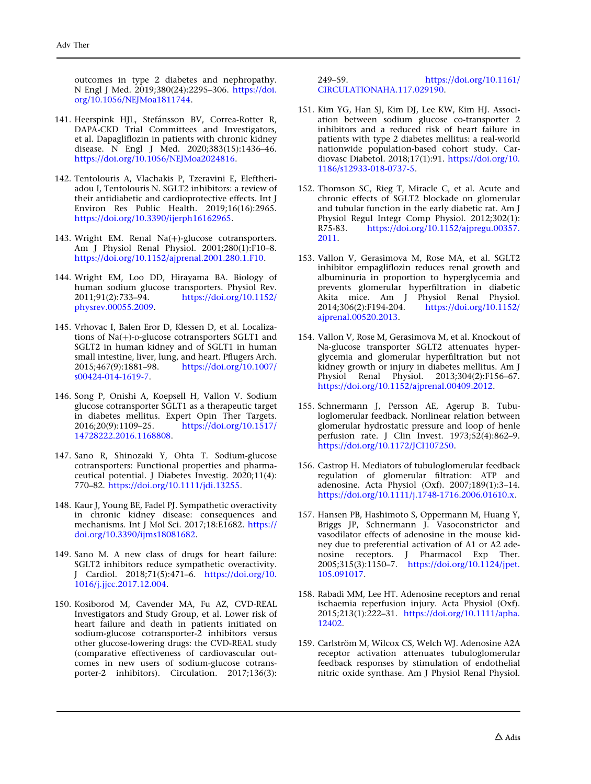<span id="page-16-0"></span>outcomes in type 2 diabetes and nephropathy. N Engl J Med. 2019;380(24):2295–306. [https://doi.](https://doi.org/10.1056/NEJMoa1811744) [org/10.1056/NEJMoa1811744](https://doi.org/10.1056/NEJMoa1811744).

- 141. Heerspink HJL, Stefánsson BV, Correa-Rotter R, DAPA-CKD Trial Committees and Investigators, et al. Dapagliflozin in patients with chronic kidney disease. N Engl J Med. 2020;383(15):1436–46. [https://doi.org/10.1056/NEJMoa2024816.](https://doi.org/10.1056/NEJMoa2024816)
- 142. Tentolouris A, Vlachakis P, Tzeravini E, Eleftheriadou I, Tentolouris N. SGLT2 inhibitors: a review of their antidiabetic and cardioprotective effects. Int J Environ Res Public Health. 2019;16(16):2965. <https://doi.org/10.3390/ijerph16162965>.
- 143. Wright EM. Renal Na $(+)$ -glucose cotransporters. Am J Physiol Renal Physiol. 2001;280(1):F10–8. [https://doi.org/10.1152/ajprenal.2001.280.1.F10.](https://doi.org/10.1152/ajprenal.2001.280.1.F10)
- 144. Wright EM, Loo DD, Hirayama BA. Biology of human sodium glucose transporters. Physiol Rev. 2011;91(2):733–94. [https://doi.org/10.1152/](https://doi.org/10.1152/physrev.00055.2009) [physrev.00055.2009.](https://doi.org/10.1152/physrev.00055.2009)
- 145. Vrhovac I, Balen Eror D, Klessen D, et al. Localizations of  $Na(+)$ -p-glucose cotransporters SGLT1 and SGLT2 in human kidney and of SGLT1 in human small intestine, liver, lung, and heart. Pflugers Arch.<br>2015;467(9):1881-98. https://doi.org/10.1007/ 2015;467(9):1881–98. [https://doi.org/10.1007/](https://doi.org/10.1007/s00424-014-1619-7) [s00424-014-1619-7](https://doi.org/10.1007/s00424-014-1619-7).
- 146. Song P, Onishi A, Koepsell H, Vallon V. Sodium glucose cotransporter SGLT1 as a therapeutic target in diabetes mellitus. Expert Opin Ther Targets.<br>2016;20(9):1109–25. https://doi.org/10.1517/ [https://doi.org/10.1517/](https://doi.org/10.1517/14728222.2016.1168808) [14728222.2016.1168808](https://doi.org/10.1517/14728222.2016.1168808).
- 147. Sano R, Shinozaki Y, Ohta T. Sodium-glucose cotransporters: Functional properties and pharmaceutical potential. J Diabetes Investig. 2020;11(4): 770–82. [https://doi.org/10.1111/jdi.13255.](https://doi.org/10.1111/jdi.13255)
- 148. Kaur J, Young BE, Fadel PJ. Sympathetic overactivity in chronic kidney disease: consequences and mechanisms. Int J Mol Sci. 2017;18:E1682. [https://](https://doi.org/10.3390/ijms18081682) [doi.org/10.3390/ijms18081682.](https://doi.org/10.3390/ijms18081682)
- 149. Sano M. A new class of drugs for heart failure: SGLT2 inhibitors reduce sympathetic overactivity. J Cardiol. 2018;71(5):471–6. [https://doi.org/10.](https://doi.org/10.1016/j.jjcc.2017.12.004) [1016/j.jjcc.2017.12.004.](https://doi.org/10.1016/j.jjcc.2017.12.004)
- 150. Kosiborod M, Cavender MA, Fu AZ, CVD-REAL Investigators and Study Group, et al. Lower risk of heart failure and death in patients initiated on sodium-glucose cotransporter-2 inhibitors versus other glucose-lowering drugs: the CVD-REAL study (comparative effectiveness of cardiovascular outcomes in new users of sodium-glucose cotransporter-2 inhibitors). Circulation. 2017;136(3):

249–59. [https://doi.org/10.1161/](https://doi.org/10.1161/CIRCULATIONAHA.117.029190) [CIRCULATIONAHA.117.029190](https://doi.org/10.1161/CIRCULATIONAHA.117.029190).

- 151. Kim YG, Han SJ, Kim DJ, Lee KW, Kim HJ. Association between sodium glucose co-transporter 2 inhibitors and a reduced risk of heart failure in patients with type 2 diabetes mellitus: a real-world nationwide population-based cohort study. Cardiovasc Diabetol. 2018;17(1):91. [https://doi.org/10.](https://doi.org/10.1186/s12933-018-0737-5) [1186/s12933-018-0737-5.](https://doi.org/10.1186/s12933-018-0737-5)
- 152. Thomson SC, Rieg T, Miracle C, et al. Acute and chronic effects of SGLT2 blockade on glomerular and tubular function in the early diabetic rat. Am J Physiol Regul Integr Comp Physiol. 2012;302(1): R75-83. [https://doi.org/10.1152/ajpregu.00357.](https://doi.org/10.1152/ajpregu.00357.2011) [2011.](https://doi.org/10.1152/ajpregu.00357.2011)
- 153. Vallon V, Gerasimova M, Rose MA, et al. SGLT2 inhibitor empagliflozin reduces renal growth and albuminuria in proportion to hyperglycemia and prevents glomerular hyperfiltration in diabetic Akita mice. Am J Physiol Renal Physiol.<br>2014;306(2):F194-204. https://doi.org/10.1152/ [https://doi.org/10.1152/](https://doi.org/10.1152/ajprenal.00520.2013) [ajprenal.00520.2013](https://doi.org/10.1152/ajprenal.00520.2013).
- 154. Vallon V, Rose M, Gerasimova M, et al. Knockout of Na-glucose transporter SGLT2 attenuates hyperglycemia and glomerular hyperfiltration but not kidney growth or injury in diabetes mellitus. Am J Physiol Renal Physiol. 2013;304(2):F156–67. [https://doi.org/10.1152/ajprenal.00409.2012.](https://doi.org/10.1152/ajprenal.00409.2012)
- 155. Schnermann J, Persson AE, Agerup B. Tubuloglomerular feedback. Nonlinear relation between glomerular hydrostatic pressure and loop of henle perfusion rate. J Clin Invest. 1973;52(4):862–9. <https://doi.org/10.1172/JCI107250>.
- 156. Castrop H. Mediators of tubuloglomerular feedback regulation of glomerular filtration: ATP and adenosine. Acta Physiol (Oxf). 2007;189(1):3–14. [https://doi.org/10.1111/j.1748-1716.2006.01610.x.](https://doi.org/10.1111/j.1748-1716.2006.01610.x)
- 157. Hansen PB, Hashimoto S, Oppermann M, Huang Y, Briggs JP, Schnermann J. Vasoconstrictor and vasodilator effects of adenosine in the mouse kidney due to preferential activation of A1 or A2 adenosine receptors. J Pharmacol Exp Ther. 2005;315(3):1150–7. [https://doi.org/10.1124/jpet.](https://doi.org/10.1124/jpet.105.091017) [105.091017](https://doi.org/10.1124/jpet.105.091017).
- 158. Rabadi MM, Lee HT. Adenosine receptors and renal ischaemia reperfusion injury. Acta Physiol (Oxf). 2015;213(1):222–31. [https://doi.org/10.1111/apha.](https://doi.org/10.1111/apha.12402) [12402.](https://doi.org/10.1111/apha.12402)
- 159. Carlström M, Wilcox CS, Welch WJ. Adenosine A2A receptor activation attenuates tubuloglomerular feedback responses by stimulation of endothelial nitric oxide synthase. Am J Physiol Renal Physiol.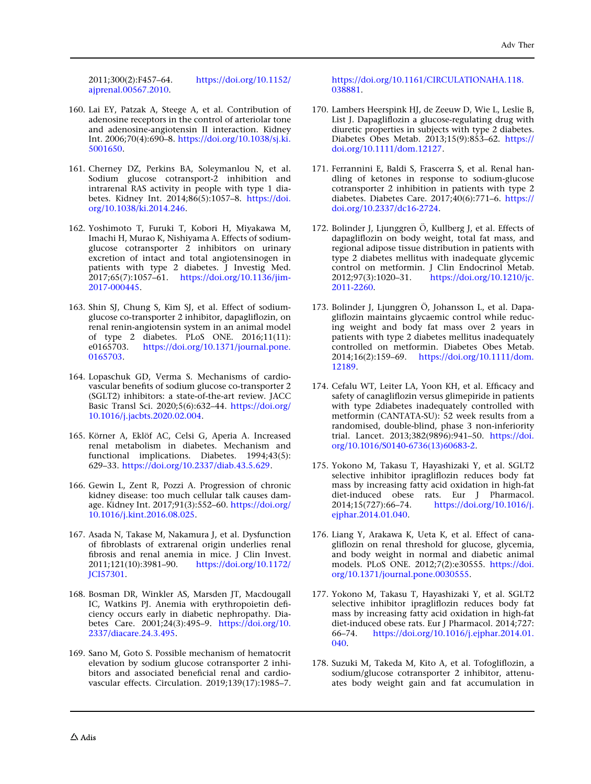<span id="page-17-0"></span>2011;300(2):F457–64. [https://doi.org/10.1152/](https://doi.org/10.1152/ajprenal.00567.2010) [ajprenal.00567.2010](https://doi.org/10.1152/ajprenal.00567.2010).

- 160. Lai EY, Patzak A, Steege A, et al. Contribution of adenosine receptors in the control of arteriolar tone and adenosine-angiotensin II interaction. Kidney Int. 2006;70(4):690–8. [https://doi.org/10.1038/sj.ki.](https://doi.org/10.1038/sj.ki.5001650) [5001650](https://doi.org/10.1038/sj.ki.5001650).
- 161. Cherney DZ, Perkins BA, Soleymanlou N, et al. Sodium glucose cotransport-2 inhibition and intrarenal RAS activity in people with type 1 diabetes. Kidney Int. 2014;86(5):1057–8. [https://doi.](https://doi.org/10.1038/ki.2014.246) [org/10.1038/ki.2014.246.](https://doi.org/10.1038/ki.2014.246)
- 162. Yoshimoto T, Furuki T, Kobori H, Miyakawa M, Imachi H, Murao K, Nishiyama A. Effects of sodiumglucose cotransporter 2 inhibitors on urinary excretion of intact and total angiotensinogen in patients with type 2 diabetes. J Investig Med. 2017;65(7):1057–61. [https://doi.org/10.1136/jim-](https://doi.org/10.1136/jim-2017-000445)[2017-000445.](https://doi.org/10.1136/jim-2017-000445)
- 163. Shin SJ, Chung S, Kim SJ, et al. Effect of sodiumglucose co-transporter 2 inhibitor, dapagliflozin, on renal renin-angiotensin system in an animal model of type 2 diabetes. PLoS ONE. 2016;11(11): e0165703. [https://doi.org/10.1371/journal.pone.](https://doi.org/10.1371/journal.pone.0165703) [0165703](https://doi.org/10.1371/journal.pone.0165703).
- 164. Lopaschuk GD, Verma S. Mechanisms of cardiovascular benefits of sodium glucose co-transporter 2 (SGLT2) inhibitors: a state-of-the-art review. JACC Basic Transl Sci. 2020;5(6):632–44. [https://doi.org/](https://doi.org/10.1016/j.jacbts.2020.02.004) [10.1016/j.jacbts.2020.02.004](https://doi.org/10.1016/j.jacbts.2020.02.004).
- 165. Körner A, Eklöf AC, Celsi G, Aperia A. Increased renal metabolism in diabetes. Mechanism and functional implications. Diabetes. 1994;43(5): 629–33. <https://doi.org/10.2337/diab.43.5.629>.
- 166. Gewin L, Zent R, Pozzi A. Progression of chronic kidney disease: too much cellular talk causes damage. Kidney Int. 2017;91(3):552–60. [https://doi.org/](https://doi.org/10.1016/j.kint.2016.08.025) [10.1016/j.kint.2016.08.025](https://doi.org/10.1016/j.kint.2016.08.025).
- 167. Asada N, Takase M, Nakamura J, et al. Dysfunction of fibroblasts of extrarenal origin underlies renal fibrosis and renal anemia in mice. J Clin Invest.<br> $2011;121(10);3981-90.$  https://doi.org/10.1172/ [https://doi.org/10.1172/](https://doi.org/10.1172/JCI57301) [JCI57301.](https://doi.org/10.1172/JCI57301)
- 168. Bosman DR, Winkler AS, Marsden JT, Macdougall IC, Watkins PJ. Anemia with erythropoietin deficiency occurs early in diabetic nephropathy. Diabetes Care. 2001;24(3):495–9. [https://doi.org/10.](https://doi.org/10.2337/diacare.24.3.495) [2337/diacare.24.3.495.](https://doi.org/10.2337/diacare.24.3.495)
- 169. Sano M, Goto S. Possible mechanism of hematocrit elevation by sodium glucose cotransporter 2 inhibitors and associated beneficial renal and cardiovascular effects. Circulation. 2019;139(17):1985–7.

[https://doi.org/10.1161/CIRCULATIONAHA.118.](https://doi.org/10.1161/CIRCULATIONAHA.118.038881) [038881.](https://doi.org/10.1161/CIRCULATIONAHA.118.038881)

- 170. Lambers Heerspink HJ, de Zeeuw D, Wie L, Leslie B, List J. Dapagliflozin a glucose-regulating drug with diuretic properties in subjects with type 2 diabetes. Diabetes Obes Metab. 2013;15(9):853–62. [https://](https://doi.org/10.1111/dom.12127) [doi.org/10.1111/dom.12127.](https://doi.org/10.1111/dom.12127)
- 171. Ferrannini E, Baldi S, Frascerra S, et al. Renal handling of ketones in response to sodium-glucose cotransporter 2 inhibition in patients with type 2 diabetes. Diabetes Care. 2017;40(6):771–6. [https://](https://doi.org/10.2337/dc16-2724) [doi.org/10.2337/dc16-2724.](https://doi.org/10.2337/dc16-2724)
- 172. Bolinder J, Ljunggren Ö, Kullberg J, et al. Effects of dapagliflozin on body weight, total fat mass, and regional adipose tissue distribution in patients with type 2 diabetes mellitus with inadequate glycemic control on metformin. J Clin Endocrinol Metab. 2012;97(3):1020–31. [https://doi.org/10.1210/jc.](https://doi.org/10.1210/jc.2011-2260) [2011-2260](https://doi.org/10.1210/jc.2011-2260).
- 173. Bolinder J, Ljunggren Ö, Johansson L, et al. Dapagliflozin maintains glycaemic control while reducing weight and body fat mass over 2 years in patients with type 2 diabetes mellitus inadequately controlled on metformin. Diabetes Obes Metab. 2014;16(2):159–69. [https://doi.org/10.1111/dom.](https://doi.org/10.1111/dom.12189) [12189.](https://doi.org/10.1111/dom.12189)
- 174. Cefalu WT, Leiter LA, Yoon KH, et al. Efficacy and safety of canagliflozin versus glimepiride in patients with type 2diabetes inadequately controlled with metformin (CANTATA-SU): 52 week results from a randomised, double-blind, phase 3 non-inferiority trial. Lancet. 2013;382(9896):941–50. [https://doi.](https://doi.org/10.1016/S0140-6736(13)60683-2) [org/10.1016/S0140-6736\(13\)60683-2.](https://doi.org/10.1016/S0140-6736(13)60683-2)
- 175. Yokono M, Takasu T, Hayashizaki Y, et al. SGLT2 selective inhibitor ipragliflozin reduces body fat mass by increasing fatty acid oxidation in high-fat diet-induced obese rats. Eur J Pharmacol. 2014;15(727):66–74. [https://doi.org/10.1016/j.](https://doi.org/10.1016/j.ejphar.2014.01.040) [ejphar.2014.01.040.](https://doi.org/10.1016/j.ejphar.2014.01.040)
- 176. Liang Y, Arakawa K, Ueta K, et al. Effect of canagliflozin on renal threshold for glucose, glycemia, and body weight in normal and diabetic animal models. PLoS ONE. 2012;7(2):e30555. [https://doi.](https://doi.org/10.1371/journal.pone.0030555) [org/10.1371/journal.pone.0030555.](https://doi.org/10.1371/journal.pone.0030555)
- 177. Yokono M, Takasu T, Hayashizaki Y, et al. SGLT2 selective inhibitor ipragliflozin reduces body fat mass by increasing fatty acid oxidation in high-fat diet-induced obese rats. Eur J Pharmacol. 2014;727: 66–74. [https://doi.org/10.1016/j.ejphar.2014.01.](https://doi.org/10.1016/j.ejphar.2014.01.040) [040](https://doi.org/10.1016/j.ejphar.2014.01.040).
- 178. Suzuki M, Takeda M, Kito A, et al. Tofogliflozin, a sodium/glucose cotransporter 2 inhibitor, attenuates body weight gain and fat accumulation in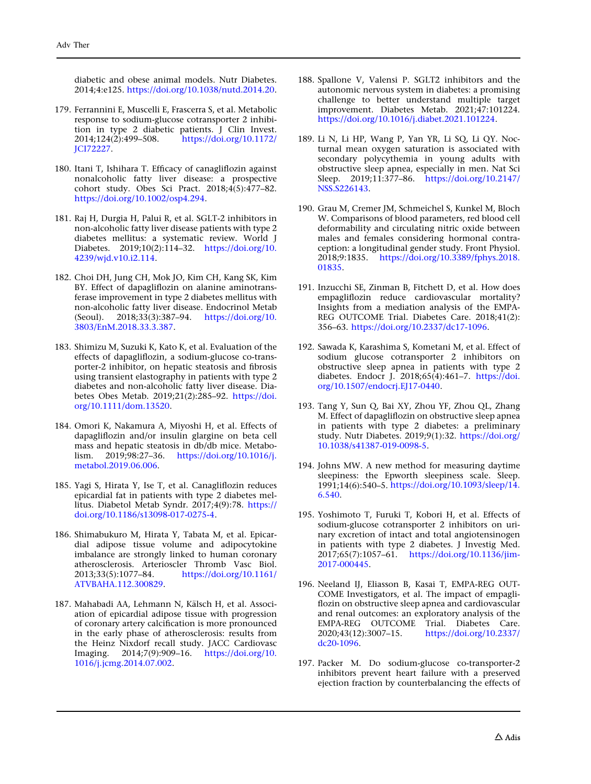<span id="page-18-0"></span>diabetic and obese animal models. Nutr Diabetes. 2014;4:e125. [https://doi.org/10.1038/nutd.2014.20.](https://doi.org/10.1038/nutd.2014.20)

- 179. Ferrannini E, Muscelli E, Frascerra S, et al. Metabolic response to sodium-glucose cotransporter 2 inhibition in type 2 diabetic patients. J Clin Invest.<br>2014;124(2):499-508. https://doi.org/10.1172/ 2014;124(2):499–508. [https://doi.org/10.1172/](https://doi.org/10.1172/JCI72227) [JCI72227.](https://doi.org/10.1172/JCI72227)
- 180. Itani T, Ishihara T. Efficacy of canagliflozin against nonalcoholic fatty liver disease: a prospective cohort study. Obes Sci Pract. 2018;4(5):477–82. <https://doi.org/10.1002/osp4.294>.
- 181. Raj H, Durgia H, Palui R, et al. SGLT-2 inhibitors in non-alcoholic fatty liver disease patients with type 2 diabetes mellitus: a systematic review. World J Diabetes. 2019;10(2):114–32. [https://doi.org/10.](https://doi.org/10.4239/wjd.v10.i2.114) [4239/wjd.v10.i2.114](https://doi.org/10.4239/wjd.v10.i2.114).
- 182. Choi DH, Jung CH, Mok JO, Kim CH, Kang SK, Kim BY. Effect of dapagliflozin on alanine aminotransferase improvement in type 2 diabetes mellitus with non-alcoholic fatty liver disease. Endocrinol Metab (Seoul). 2018;33(3):387–94. [https://doi.org/10.](https://doi.org/10.3803/EnM.2018.33.3.387) [3803/EnM.2018.33.3.387.](https://doi.org/10.3803/EnM.2018.33.3.387)
- 183. Shimizu M, Suzuki K, Kato K, et al. Evaluation of the effects of dapagliflozin, a sodium-glucose co-transporter-2 inhibitor, on hepatic steatosis and fibrosis using transient elastography in patients with type 2 diabetes and non-alcoholic fatty liver disease. Diabetes Obes Metab. 2019;21(2):285–92. [https://doi.](https://doi.org/10.1111/dom.13520) [org/10.1111/dom.13520](https://doi.org/10.1111/dom.13520).
- 184. Omori K, Nakamura A, Miyoshi H, et al. Effects of dapagliflozin and/or insulin glargine on beta cell mass and hepatic steatosis in db/db mice. Metabolism. 2019;98:27–36. [https://doi.org/10.1016/j.](https://doi.org/10.1016/j.metabol.2019.06.006) [metabol.2019.06.006.](https://doi.org/10.1016/j.metabol.2019.06.006)
- 185. Yagi S, Hirata Y, Ise T, et al. Canagliflozin reduces epicardial fat in patients with type 2 diabetes mellitus. Diabetol Metab Syndr. 2017;4(9):78. [https://](https://doi.org/10.1186/s13098-017-0275-4) [doi.org/10.1186/s13098-017-0275-4](https://doi.org/10.1186/s13098-017-0275-4).
- 186. Shimabukuro M, Hirata Y, Tabata M, et al. Epicardial adipose tissue volume and adipocytokine imbalance are strongly linked to human coronary atherosclerosis. Arterioscler Thromb Vasc Biol. 2013;33(5):1077–84. [https://doi.org/10.1161/](https://doi.org/10.1161/ATVBAHA.112.300829) [ATVBAHA.112.300829](https://doi.org/10.1161/ATVBAHA.112.300829).
- 187. Mahabadi AA, Lehmann N, Kälsch H, et al. Association of epicardial adipose tissue with progression of coronary artery calcification is more pronounced in the early phase of atherosclerosis: results from the Heinz Nixdorf recall study. JACC Cardiovasc Imaging. 2014;7(9):909–16. [https://doi.org/10.](https://doi.org/10.1016/j.jcmg.2014.07.002) [1016/j.jcmg.2014.07.002](https://doi.org/10.1016/j.jcmg.2014.07.002).
- 188. Spallone V, Valensi P. SGLT2 inhibitors and the autonomic nervous system in diabetes: a promising challenge to better understand multiple target improvement. Diabetes Metab. 2021;47:101224. <https://doi.org/10.1016/j.diabet.2021.101224>.
- 189. Li N, Li HP, Wang P, Yan YR, Li SQ, Li QY. Nocturnal mean oxygen saturation is associated with secondary polycythemia in young adults with obstructive sleep apnea, especially in men. Nat Sci Sleep. 2019;11:377–86. [https://doi.org/10.2147/](https://doi.org/10.2147/NSS.S226143) [NSS.S226143](https://doi.org/10.2147/NSS.S226143).
- 190. Grau M, Cremer JM, Schmeichel S, Kunkel M, Bloch W. Comparisons of blood parameters, red blood cell deformability and circulating nitric oxide between males and females considering hormonal contraception: a longitudinal gender study. Front Physiol. 2018;9:1835. [https://doi.org/10.3389/fphys.2018.](https://doi.org/10.3389/fphys.2018.01835) [01835.](https://doi.org/10.3389/fphys.2018.01835)
- 191. Inzucchi SE, Zinman B, Fitchett D, et al. How does empagliflozin reduce cardiovascular mortality? Insights from a mediation analysis of the EMPA-REG OUTCOME Trial. Diabetes Care. 2018;41(2): 356–63. <https://doi.org/10.2337/dc17-1096>.
- 192. Sawada K, Karashima S, Kometani M, et al. Effect of sodium glucose cotransporter 2 inhibitors on obstructive sleep apnea in patients with type 2 diabetes. Endocr J. 2018;65(4):461–7. [https://doi.](https://doi.org/10.1507/endocrj.EJ17-0440) [org/10.1507/endocrj.EJ17-0440.](https://doi.org/10.1507/endocrj.EJ17-0440)
- 193. Tang Y, Sun Q, Bai XY, Zhou YF, Zhou QL, Zhang M. Effect of dapagliflozin on obstructive sleep apnea in patients with type 2 diabetes: a preliminary study. Nutr Diabetes. 2019;9(1):32. [https://doi.org/](https://doi.org/10.1038/s41387-019-0098-5) [10.1038/s41387-019-0098-5](https://doi.org/10.1038/s41387-019-0098-5).
- 194. Johns MW. A new method for measuring daytime sleepiness: the Epworth sleepiness scale. Sleep. 1991;14(6):540–5. [https://doi.org/10.1093/sleep/14.](https://doi.org/10.1093/sleep/14.6.540) [6.540](https://doi.org/10.1093/sleep/14.6.540).
- 195. Yoshimoto T, Furuki T, Kobori H, et al. Effects of sodium-glucose cotransporter 2 inhibitors on urinary excretion of intact and total angiotensinogen in patients with type 2 diabetes. J Investig Med. 2017;65(7):1057–61. [https://doi.org/10.1136/jim-](https://doi.org/10.1136/jim-2017-000445)[2017-000445.](https://doi.org/10.1136/jim-2017-000445)
- 196. Neeland IJ, Eliasson B, Kasai T, EMPA-REG OUT-COME Investigators, et al. The impact of empagliflozin on obstructive sleep apnea and cardiovascular and renal outcomes: an exploratory analysis of the EMPA-REG OUTCOME Trial. Diabetes Care.<br>2020;43(12):3007–15. https://doi.org/10.2337/ 2020;43(12):3007–15. [https://doi.org/10.2337/](https://doi.org/10.2337/dc20-1096) [dc20-1096.](https://doi.org/10.2337/dc20-1096)
- 197. Packer M. Do sodium-glucose co-transporter-2 inhibitors prevent heart failure with a preserved ejection fraction by counterbalancing the effects of